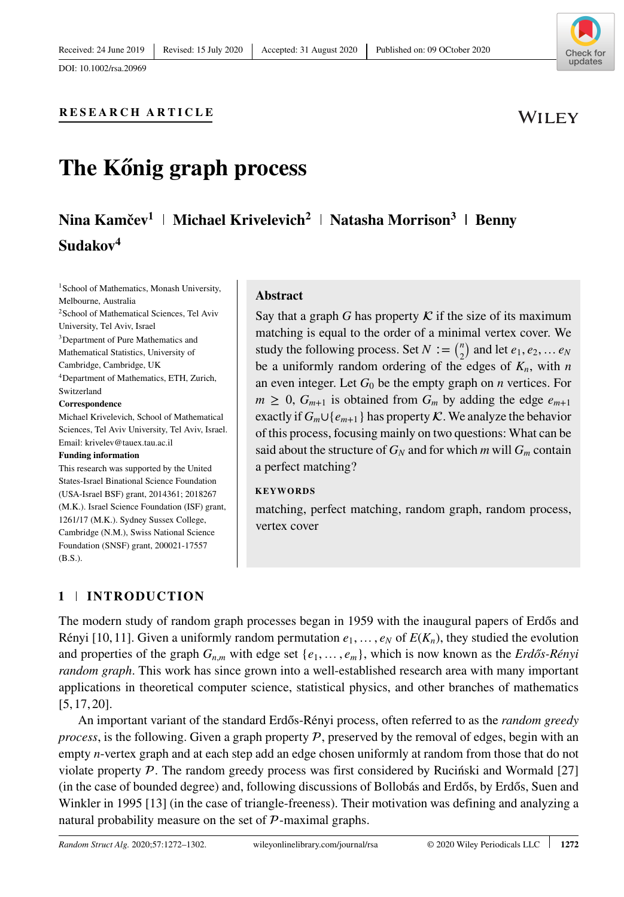

WILEY

# **RESEARCH ARTICLE**

# **The Kőnig graph process**

# **Nina Kamčev<sup>1</sup> | Michael Krivelevich<sup>2</sup> | Natasha Morrison<sup>3</sup> | Benny Sudakov<sup>4</sup>**

<sup>1</sup>School of Mathematics, Monash University, Melbourne, Australia 2School of Mathematical Sciences, Tel Aviv University, Tel Aviv, Israel 3Department of Pure Mathematics and Mathematical Statistics, University of Cambridge, Cambridge, UK 4Department of Mathematics, ETH, Zurich, Switzerland

#### **Correspondence**

Michael Krivelevich, School of Mathematical Sciences, Tel Aviv University, Tel Aviv, Israel. Email: krivelev@tauex.tau.ac.il

#### **Funding information**

This research was supported by the United States-Israel Binational Science Foundation (USA-Israel BSF) grant, 2014361; 2018267 (M.K.). Israel Science Foundation (ISF) grant, 1261/17 (M.K.). Sydney Sussex College, Cambridge (N.M.), Swiss National Science Foundation (SNSF) grant, 200021-17557 (B.S.).

#### **Abstract**

Say that a graph *G* has property  $K$  if the size of its maximum matching is equal to the order of a minimal vertex cover. We study the following process. Set *N* : =  $\binom{n}{2}$  and let  $e_1, e_2, \ldots e_N$ be a uniformly random ordering of the edges of  $K_n$ , with *n* an even integer. Let  $G_0$  be the empty graph on *n* vertices. For  $m \geq 0$ ,  $G_{m+1}$  is obtained from  $G_m$  by adding the edge  $e_{m+1}$ exactly if  $G_m \cup \{e_{m+1}\}\$  has property  $\mathcal K$ . We analyze the behavior of this process, focusing mainly on two questions: What can be said about the structure of  $G_N$  and for which *m* will  $G_m$  contain a perfect matching?

#### **KEYWORDS**

matching, perfect matching, random graph, random process, vertex cover

# **1 INTRODUCTION**

The modern study of random graph processes began in 1959 with the inaugural papers of Erdős and Rényi [10, 11]. Given a uniformly random permutation  $e_1, \ldots, e_N$  of  $E(K_n)$ , they studied the evolution and properties of the graph  $G_{n,m}$  with edge set  $\{e_1, \ldots, e_m\}$ , which is now known as the *Erdős-Rényi random graph*. This work has since grown into a well-established research area with many important applications in theoretical computer science, statistical physics, and other branches of mathematics [5, 17, 20].

An important variant of the standard Erdős-Rényi process, often referred to as the *random greedy process*, is the following. Given a graph property  $P$ , preserved by the removal of edges, begin with an empty *n*-vertex graph and at each step add an edge chosen uniformly at random from those that do not violate property  $P$ . The random greedy process was first considered by Rucinski and Wormald  $[27]$ (in the case of bounded degree) and, following discussions of Bollobás and Erdős, by Erdős, Suen and Winkler in 1995 [13] (in the case of triangle-freeness). Their motivation was defining and analyzing a natural probability measure on the set of  $P$ -maximal graphs.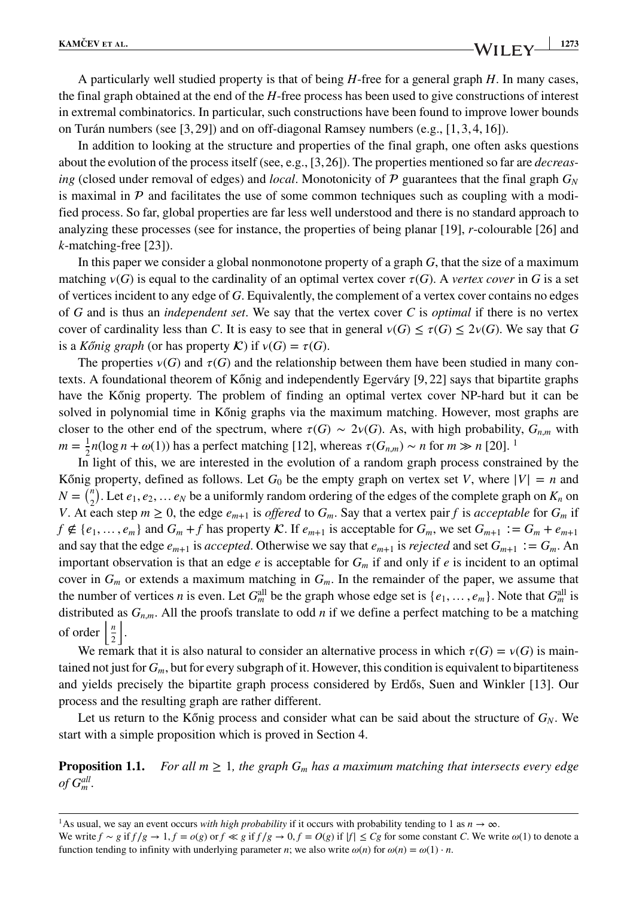A particularly well studied property is that of being *H*-free for a general graph *H*. In many cases, the final graph obtained at the end of the *H*-free process has been used to give constructions of interest in extremal combinatorics. In particular, such constructions have been found to improve lower bounds on Turán numbers (see [3, 29]) and on off-diagonal Ramsey numbers (e.g., [1, 3, 4, 16]).

In addition to looking at the structure and properties of the final graph, one often asks questions about the evolution of the process itself (see, e.g., [3,26]). The properties mentioned so far are *decreasing* (closed under removal of edges) and *local*. Monotonicity of  $P$  guarantees that the final graph  $G_N$ is maximal in  $P$  and facilitates the use of some common techniques such as coupling with a modified process. So far, global properties are far less well understood and there is no standard approach to analyzing these processes (see for instance, the properties of being planar [19], *r*-colourable [26] and *k*-matching-free [23]).

In this paper we consider a global nonmonotone property of a graph *G*, that the size of a maximum matching  $v(G)$  is equal to the cardinality of an optimal vertex cover  $\tau(G)$ . A *vertex cover* in *G* is a set of vertices incident to any edge of *G*. Equivalently, the complement of a vertex cover contains no edges of *G* and is thus an *independent set*. We say that the vertex cover *C* is *optimal* if there is no vertex cover of cardinality less than *C*. It is easy to see that in general  $\nu(G) \leq \tau(G) \leq 2\nu(G)$ . We say that *G* is a *Konig graph* (or has property  $\mathcal{K}$ ) if  $v(G) = \tau(G)$ .

The properties  $v(G)$  and  $\tau(G)$  and the relationship between them have been studied in many contexts. A foundational theorem of Kőnig and independently Egerváry  $[9, 22]$  says that bipartite graphs have the Kőnig property. The problem of finding an optimal vertex cover NP-hard but it can be solved in polynomial time in Kőnig graphs via the maximum matching. However, most graphs are closer to the other end of the spectrum, where  $\tau(G) \sim 2\nu(G)$ . As, with high probability,  $G_{n,m}$  with *m* =  $\frac{1}{2}n(\log n + \omega(1))$  $\frac{1}{2}n(\log n + \omega(1))$  $\frac{1}{2}n(\log n + \omega(1))$  has a perfect matching [12], whereas  $\tau(G_{n,m}) \sim n$  for *m* ≫ *n* [20].<sup>1</sup>

In light of this, we are interested in the evolution of a random graph process constrained by the König property, defined as follows. Let  $G_0$  be the empty graph on vertex set *V*, where  $|V| = n$  and  $N = {n \choose 2}$ . Let  $e_1, e_2, \ldots e_N$  be a uniformly random ordering of the edges of the complete graph on  $K_n$  on *V*. At each step  $m \ge 0$ , the edge  $e_{m+1}$  is *offered* to  $G_m$ . Say that a vertex pair *f* is *acceptable* for  $G_m$  if *f* ∉ { $e_1, \ldots, e_m$ } and  $G_m + f$  has property  $\mathcal K$ . If  $e_{m+1}$  is acceptable for  $G_m$ , we set  $G_{m+1} := G_m + e_{m+1}$ and say that the edge  $e_{m+1}$  is *accepted*. Otherwise we say that  $e_{m+1}$  is *rejected* and set  $G_{m+1} := G_m$ . An important observation is that an edge  $e$  is acceptable for  $G<sub>m</sub>$  if and only if  $e$  is incident to an optimal cover in  $G_m$  or extends a maximum matching in  $G_m$ . In the remainder of the paper, we assume that the number of vertices *n* is even. Let  $G_m^{\text{all}}$  be the graph whose edge set is  $\{e_1, \ldots, e_m\}$ . Note that  $G_m^{\text{all}}$  is distributed as  $G_{n,m}$ . All the proofs translate to odd *n* if we define a perfect matching to be a matching of order  $\frac{n}{2}$  $\vert$ .

We remark that it is also natural to consider an alternative process in which  $\tau(G) = \nu(G)$  is maintained not just for *Gm*, but for every subgraph of it. However, this condition is equivalent to bipartiteness and yields precisely the bipartite graph process considered by Erdős, Suen and Winkler [13]. Our process and the resulting graph are rather different.

Let us return to the Kőnig process and consider what can be said about the structure of  $G_N$ . We start with a simple proposition which is proved in Section 4.

**Proposition 1.1.** *For all m*  $\geq 1$ *, the graph*  $G_m$  *has a maximum matching that intersects every edge of Gall m .*

<span id="page-1-0"></span><sup>&</sup>lt;sup>1</sup>As usual, we say an event occurs *with high probability* if it occurs with probability tending to 1 as  $n \to \infty$ . We write  $f \sim g$  if  $f/g \to 1, f = o(g)$  or  $f \ll g$  if  $f/g \to 0, f = O(g)$  if  $|f| \le Cg$  for some constant C. We write  $\omega(1)$  to denote a function tending to infinity with underlying parameter *n*; we also write  $\omega(n)$  for  $\omega(n) = \omega(1) \cdot n$ .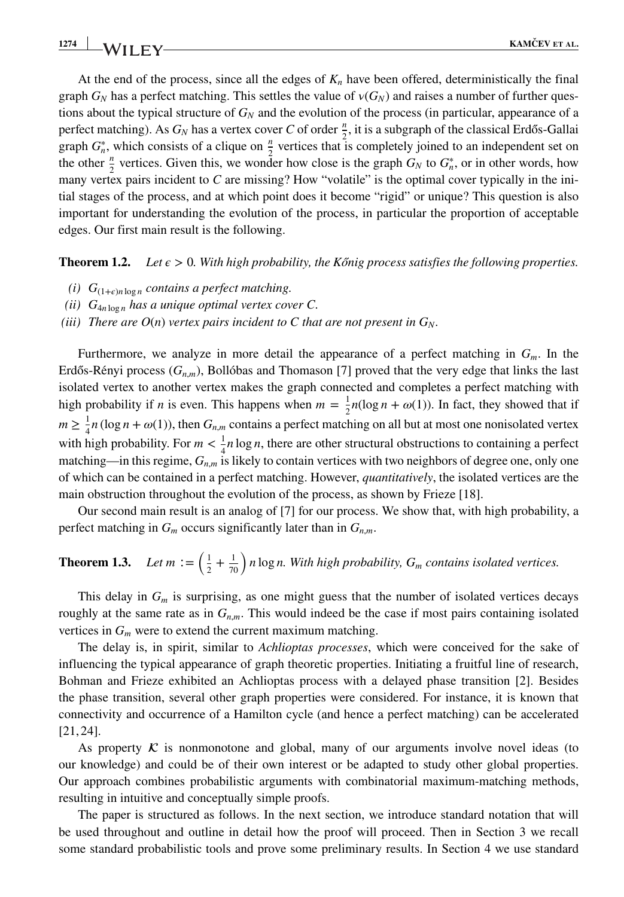At the end of the process, since all the edges of  $K_n$  have been offered, deterministically the final graph  $G_N$  has a perfect matching. This settles the value of  $v(G_N)$  and raises a number of further questions about the typical structure of *GN* and the evolution of the process (in particular, appearance of a perfect matching). As  $G_N$  has a vertex cover C of order  $\frac{n}{2}$ , it is a subgraph of the classical Erdős-Gallai graph  $G_n^*$ , which consists of a clique on  $\frac{n}{2}$  vertices that is completely joined to an independent set on the other  $\frac{n}{2}$  vertices. Given this, we wonder how close is the graph  $G_N$  to  $G^*_n$ , or in other words, how many vertex pairs incident to *C* are missing? How "volatile" is the optimal cover typically in the initial stages of the process, and at which point does it become "rigid" or unique? This question is also important for understanding the evolution of the process, in particular the proportion of acceptable edges. Our first main result is the following.

**Theorem 1.2.** *Let*  $\epsilon > 0$ *. With high probability, the Kőnig process satisfies the following properties.* 

- *(i)*  $G_{(1+\epsilon)n \log n}$  *contains a perfect matching.*
- *(ii)*  $G_{4n \log n}$  *has a unique optimal vertex cover C.*
- *(iii)* There are  $O(n)$  *vertex pairs incident to C that are not present in*  $G_N$ *.*

Furthermore, we analyze in more detail the appearance of a perfect matching in *Gm*. In the Erdős-Rényi process  $(G_{n,m})$ , Bollóbas and Thomason [7] proved that the very edge that links the last isolated vertex to another vertex makes the graph connected and completes a perfect matching with high probability if *n* is even. This happens when  $m = \frac{1}{2}n(\log n + \omega(1))$ . In fact, they showed that if  $m \geq \frac{1}{4}n(\log n + \omega(1))$ , then  $G_{n,m}$  contains a perfect matching on all but at most one nonisolated vertex with high probability. For  $m < \frac{1}{4}n \log n$ , there are other structural obstructions to containing a perfect matching—in this regime,  $G_{n,m}$  is likely to contain vertices with two neighbors of degree one, only one of which can be contained in a perfect matching. However, *quantitatively*, the isolated vertices are the main obstruction throughout the evolution of the process, as shown by Frieze [18].

Our second main result is an analog of [7] for our process. We show that, with high probability, a perfect matching in  $G_m$  occurs significantly later than in  $G_{n,m}$ .

**Theorem 1.3.** Let 
$$
m := \left(\frac{1}{2} + \frac{1}{70}\right) n \log n
$$
. With high probability,  $G_m$  contains isolated vertices.

This delay in *Gm* is surprising, as one might guess that the number of isolated vertices decays roughly at the same rate as in  $G_{n,m}$ . This would indeed be the case if most pairs containing isolated vertices in  $G_m$  were to extend the current maximum matching.

The delay is, in spirit, similar to *Achlioptas processes*, which were conceived for the sake of influencing the typical appearance of graph theoretic properties. Initiating a fruitful line of research, Bohman and Frieze exhibited an Achlioptas process with a delayed phase transition [2]. Besides the phase transition, several other graph properties were considered. For instance, it is known that connectivity and occurrence of a Hamilton cycle (and hence a perfect matching) can be accelerated [21, 24].

As property  $\mathcal K$  is nonmonotone and global, many of our arguments involve novel ideas (to our knowledge) and could be of their own interest or be adapted to study other global properties. Our approach combines probabilistic arguments with combinatorial maximum-matching methods, resulting in intuitive and conceptually simple proofs.

The paper is structured as follows. In the next section, we introduce standard notation that will be used throughout and outline in detail how the proof will proceed. Then in Section 3 we recall some standard probabilistic tools and prove some preliminary results. In Section 4 we use standard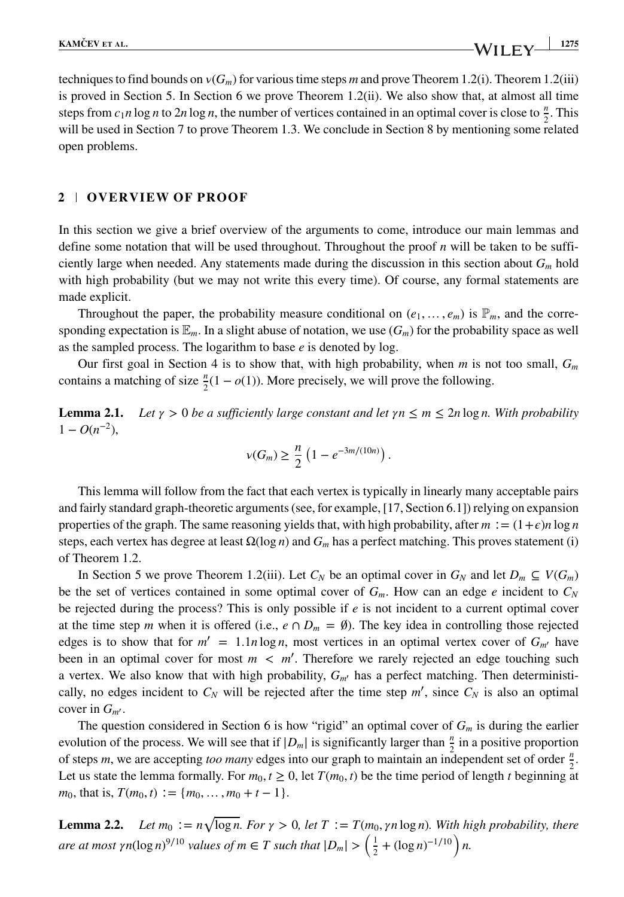techniques to find bounds on  $v(G_m)$  for various time steps *m* and prove Theorem 1.2(i). Theorem 1.2(iii) is proved in Section 5. In Section 6 we prove Theorem 1.2(ii). We also show that, at almost all time steps from  $c_1n \log n$  to  $2n \log n$ , the number of vertices contained in an optimal cover is close to  $\frac{n}{2}$ . This will be used in Section 7 to prove Theorem 1.3. We conclude in Section 8 by mentioning some related open problems.

# **2 OVERVIEW OF PROOF**

In this section we give a brief overview of the arguments to come, introduce our main lemmas and define some notation that will be used throughout. Throughout the proof *n* will be taken to be sufficiently large when needed. Any statements made during the discussion in this section about *Gm* hold with high probability (but we may not write this every time). Of course, any formal statements are made explicit.

Throughout the paper, the probability measure conditional on  $(e_1, \ldots, e_m)$  is  $\mathbb{P}_m$ , and the corresponding expectation is  $\mathbb{E}_m$ . In a slight abuse of notation, we use  $(G_m)$  for the probability space as well as the sampled process. The logarithm to base *e* is denoted by log.

Our first goal in Section 4 is to show that, with high probability, when *m* is not too small, *Gm* contains a matching of size  $\frac{n}{2}(1 - o(1))$ . More precisely, we will prove the following.

**Lemma 2.1.** *Let*  $\gamma > 0$  *be a sufficiently large constant and let*  $\gamma n \leq m \leq 2n \log n$ *. With probability*  $1 - O(n^{-2}),$ 

$$
\nu(G_m) \ge \frac{n}{2} \left( 1 - e^{-3m/(10n)} \right).
$$

This lemma will follow from the fact that each vertex is typically in linearly many acceptable pairs and fairly standard graph-theoretic arguments (see, for example, [17, Section 6.1]) relying on expansion properties of the graph. The same reasoning yields that, with high probability, after  $m := (1 + \epsilon)n \log n$ steps, each vertex has degree at least Ω(log *n*) and *Gm* has a perfect matching. This proves statement (i) of Theorem 1.2.

In Section 5 we prove Theorem 1.2(iii). Let  $C_N$  be an optimal cover in  $G_N$  and let  $D_m \subseteq V(G_m)$ be the set of vertices contained in some optimal cover of  $G_m$ . How can an edge *e* incident to  $C_N$ be rejected during the process? This is only possible if *e* is not incident to a current optimal cover at the time step *m* when it is offered (i.e.,  $e \cap D_m = \emptyset$ ). The key idea in controlling those rejected edges is to show that for  $m' = 1.1n \log n$ , most vertices in an optimal vertex cover of  $G_{m'}$  have been in an optimal cover for most  $m < m'$ . Therefore we rarely rejected an edge touching such a vertex. We also know that with high probability, *Gm*′ has a perfect matching. Then deterministically, no edges incident to  $C_N$  will be rejected after the time step  $m'$ , since  $C_N$  is also an optimal cover in *Gm*′ .

The question considered in Section 6 is how "rigid" an optimal cover of *Gm* is during the earlier evolution of the process. We will see that if  $|D_m|$  is significantly larger than  $\frac{n}{2}$  in a positive proportion of steps *m*, we are accepting *too many* edges into our graph to maintain an independent set of order  $\frac{n}{2}$ . Let us state the lemma formally. For  $m_0$ ,  $t \ge 0$ , let  $T(m_0, t)$  be the time period of length *t* beginning at *m*<sub>0</sub>, that is,  $T(m_0, t) := \{m_0, \ldots, m_0 + t - 1\}.$ 

**Lemma 2.2.** *Let*  $m_0 := n\sqrt{\log n}$ *. For*  $\gamma > 0$ *, let*  $T := T(m_0, \gamma n \log n)$ *. With high probability, there are at most*  $\gamma n(\log n)^{9/10}$  *values of m* ∈ *T such that*  $|D_m| > \left(\frac{1}{2} + (\log n)^{-1/10}\right)n$ .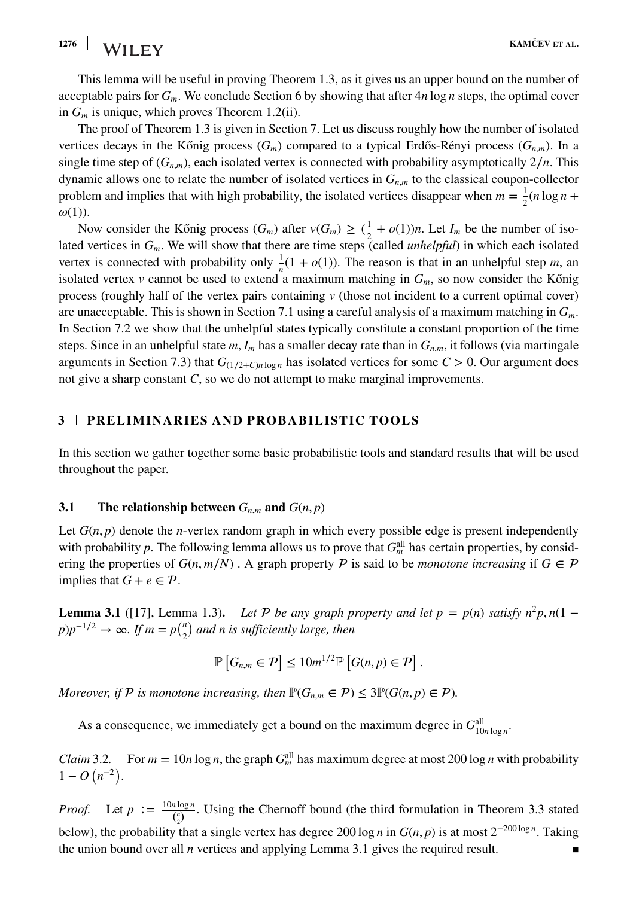This lemma will be useful in proving Theorem 1.3, as it gives us an upper bound on the number of acceptable pairs for *Gm*. We conclude Section 6 by showing that after 4*n* log *n* steps, the optimal cover in *Gm* is unique, which proves Theorem 1.2(ii).

The proof of Theorem 1.3 is given in Section 7. Let us discuss roughly how the number of isolated vertices decays in the Kőnig process  $(G_m)$  compared to a typical Erdős-Rényi process  $(G_{n,m})$ . In a single time step of  $(G_{n,m})$ , each isolated vertex is connected with probability asymptotically  $2/n$ . This dynamic allows one to relate the number of isolated vertices in  $G_{n,m}$  to the classical coupon-collector problem and implies that with high probability, the isolated vertices disappear when  $m = \frac{1}{2}(n \log n +$  $\omega(1)$ ).

Now consider the Kőnig process  $(G_m)$  after  $v(G_m) \ge (\frac{1}{2} + o(1))n$ . Let  $I_m$  be the number of isolated vertices in *Gm*. We will show that there are time steps (called *unhelpful*) in which each isolated vertex is connected with probability only  $\frac{1}{x}(1 + o(1))$ . The reason is that in an unhelpful step *m*, an isolated vertex *v* cannot be used to extend a maximum matching in  $G_m$ , so now consider the Kőnig process (roughly half of the vertex pairs containing *v* (those not incident to a current optimal cover) are unacceptable. This is shown in Section 7.1 using a careful analysis of a maximum matching in *Gm*. In Section 7.2 we show that the unhelpful states typically constitute a constant proportion of the time steps. Since in an unhelpful state *m*, *Im* has a smaller decay rate than in *Gn,m*, it follows (via martingale arguments in Section 7.3) that  $G_{(1/2+C)n \log n}$  has isolated vertices for some  $C > 0$ . Our argument does not give a sharp constant *C*, so we do not attempt to make marginal improvements.

## **3 PRELIMINARIES AND PROBABILISTIC TOOLS**

In this section we gather together some basic probabilistic tools and standard results that will be used throughout the paper.

### **3.1 The relationship between**  $G_{n,m}$  and  $G(n, p)$

Let  $G(n, p)$  denote the *n*-vertex random graph in which every possible edge is present independently with probability p. The following lemma allows us to prove that  $G_m^{\text{all}}$  has certain properties, by considering the properties of  $G(n, m/N)$ . A graph property P is said to be *monotone increasing* if  $G \in \mathcal{P}$ implies that  $G + e \in \mathcal{P}$ .

**Lemma 3.1** ([17], Lemma 1.3). *Let*  $P$  *be any graph property and let*  $p = p(n)$  *satisfy*  $n^2p$ *, n*(1 −  $p$ ) $p^{-1/2} \rightarrow \infty$ *. If*  $m = p{n \choose 2}$  and n is sufficiently large, then

$$
\mathbb{P}\left[G_{n,m}\in\mathcal{P}\right]\leq 10m^{1/2}\mathbb{P}\left[G(n,p)\in\mathcal{P}\right].
$$

*Moreover, if*  $P$  *is monotone increasing, then*  $\mathbb{P}(G_{n,m} \in P) \leq 3\mathbb{P}(G(n,p) \in P)$ *.* 

As a consequence, we immediately get a bound on the maximum degree in  $G<sup>all</sup><sub>10*n*log n</sub>$ .

*Claim* 3.2. For  $m = 10n \log n$ , the graph  $G_m^{\text{all}}$  has maximum degree at most 200 log *n* with probability  $1 - O(n^{-2}).$ 

*Proof.* Let  $p := \frac{10n \log n}{\binom{n}{2}}$ . Using the Chernoff bound (the third formulation in Theorem 3.3 stated below), the probability that a single vertex has degree 200 log *n* in  $G(n, p)$  is at most 2<sup>-200 log *n*. Taking</sup> the union bound over all *n* vertices and applying Lemma 3.1 gives the required result.  $\blacksquare$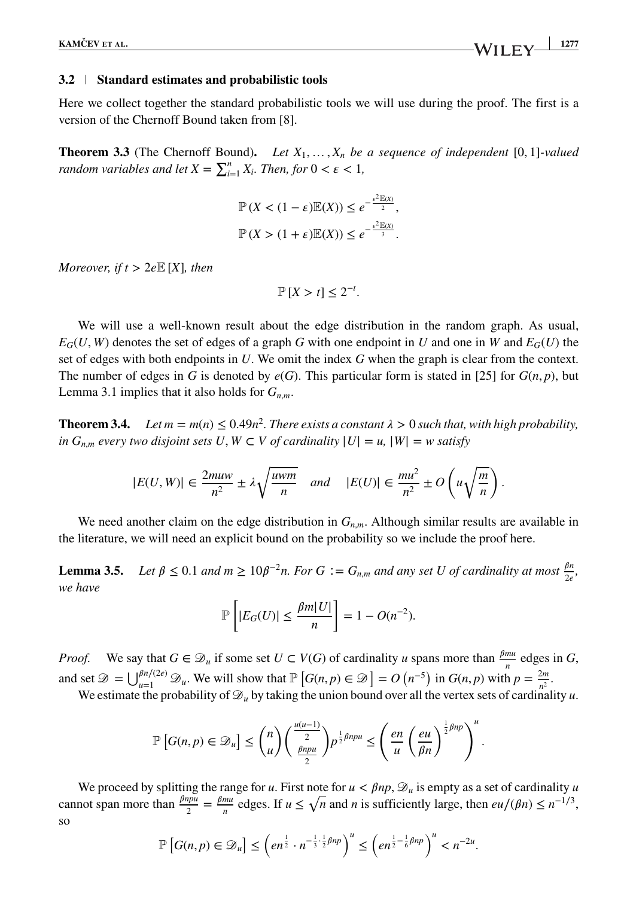#### **3.2 Standard estimates and probabilistic tools**

Here we collect together the standard probabilistic tools we will use during the proof. The first is a version of the Chernoff Bound taken from [8].

**Theorem 3.3** (The Chernoff Bound)**.** *Let X*1*,* …*, Xn be a sequence of independent* [0*,* 1]*-valued random variables and let*  $X = \sum_{i=1}^{n} X_i$ *. Then, for*  $0 < \varepsilon < 1$ *,* 

$$
\mathbb{P}\left(X < (1 - \varepsilon)\mathbb{E}(X)\right) \le e^{-\frac{\varepsilon^2 \mathbb{E}(X)}{2}},
$$
\n
$$
\mathbb{P}\left(X > (1 + \varepsilon)\mathbb{E}(X)\right) \le e^{-\frac{\varepsilon^2 \mathbb{E}(X)}{3}}.
$$

*Moreover, if t*  $> 2eE[X]$ *, then* 

$$
\mathbb{P}[X > t] \le 2^{-t}.
$$

We will use a well-known result about the edge distribution in the random graph. As usual,  $E_G(U, W)$  denotes the set of edges of a graph *G* with one endpoint in *U* and one in *W* and  $E_G(U)$  the set of edges with both endpoints in *U*. We omit the index *G* when the graph is clear from the context. The number of edges in *G* is denoted by  $e(G)$ . This particular form is stated in [25] for  $G(n, p)$ , but Lemma 3.1 implies that it also holds for  $G_{n,m}$ .

**Theorem 3.4.** *Let m* =  $m(n) \le 0.49n^2$ . *There exists a constant*  $\lambda > 0$  *such that, with high probability, in*  $G_{n,m}$  *every two disjoint sets*  $U, W \subset V$  *of cardinality*  $|U| = u$ ,  $|W| = w$  *satisfy* 

$$
|E(U,W)| \in \frac{2muw}{n^2} \pm \lambda \sqrt{\frac{uwm}{n}} \quad and \quad |E(U)| \in \frac{mu^2}{n^2} \pm O\left(u\sqrt{\frac{m}{n}}\right).
$$

We need another claim on the edge distribution in  $G_{n,m}$ . Although similar results are available in the literature, we will need an explicit bound on the probability so we include the proof here.

**Lemma 3.5.** *Let*  $\beta \leq 0.1$  *and*  $m \geq 10\beta^{-2}n$ *. For*  $G := G_{n,m}$  *and any set U of cardinality at most*  $\frac{\beta n}{2e}$ *, we have*

$$
\mathbb{P}\left[|E_G(U)| \le \frac{\beta m|U|}{n}\right] = 1 - O(n^{-2}).
$$

*Proof.* We say that  $G \in \mathcal{D}_u$  if some set  $U \subset V(G)$  of cardinality *u* spans more than  $\frac{\beta m u}{n}$  edges in *G*, and set  $\mathcal{D} = \bigcup_{u=1}^{\beta n/(2e)} \mathcal{D}_u$ . We will show that  $\mathbb{P}\left[G(n,p) \in \mathcal{D}\right] = O\left(n^{-5}\right)$  in  $G(n,p)$  with  $p = \frac{2m}{n^2}$ .

We estimate the probability of  $\mathcal{D}_u$  by taking the union bound over all the vertex sets of cardinality *u*.

$$
\mathbb{P}\left[G(n,p)\in\mathcal{D}_u\right]\le {n\choose u}\left(\frac{\frac{u(u-1)}{2}}{\frac{\beta npu}{2}}\right)p^{\frac{1}{2}\beta npu}\leq \left(\frac{en}{u}\left(\frac{eu}{\beta n}\right)^{\frac{1}{2}\beta np}\right)^u.
$$

We proceed by splitting the range for *u*. First note for  $u < \beta np$ ,  $\mathcal{D}_u$  is empty as a set of cardinality *u* cannot span more than  $\frac{\beta npu}{2} = \frac{\beta mu}{n}$  edges. If  $u \le \sqrt{n}$  and *n* is sufficiently large, then  $eu/(\beta n) \le n^{-1/3}$ , so

$$
\mathbb{P}\left[G(n,p)\in\mathcal{D}_u\right]\leq \left(en^{\frac{1}{2}}\cdot n^{-\frac{1}{3}\cdot\frac{1}{2}\beta np}\right)^u\leq \left(en^{\frac{1}{2}-\frac{1}{6}\beta np}\right)^u
$$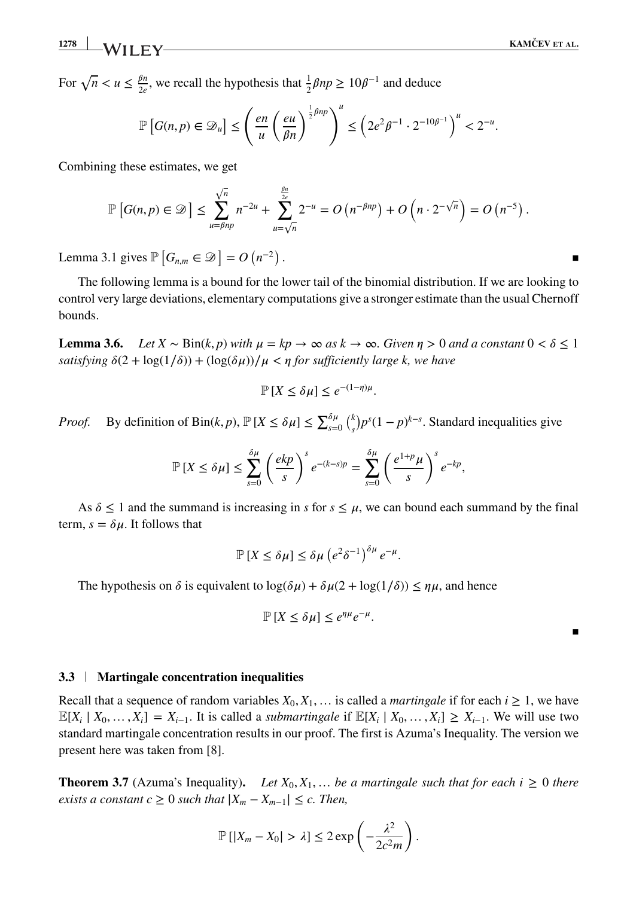**1278 KAMCEV ˇ ET AL.**

For  $\sqrt{n} < u \le \frac{\beta n}{2e}$ , we recall the hypothesis that  $\frac{1}{2}\beta np \ge 10\beta^{-1}$  and deduce

$$
\mathbb{P}\left[G(n,p)\in\mathcal{D}_u\right] \leq \left(\frac{en}{u}\left(\frac{eu}{\beta n}\right)^{\frac{1}{2}\beta np}\right)^u \leq \left(2e^2\beta^{-1}\cdot 2^{-10\beta^{-1}}\right)^u < 2^{-u}.
$$

Combining these estimates, we get

$$
\mathbb{P}\left[G(n,p)\in\mathcal{D}\right]\leq \sum_{u=\beta np}^{\sqrt{n}}n^{-2u}+\sum_{u=\sqrt{n}}^{\frac{\beta n}{2c}}2^{-u}=O\left(n^{-\beta np}\right)+O\left(n\cdot 2^{-\sqrt{n}}\right)=O\left(n^{-5}\right).
$$

Lemma 3.1 gives  $\mathbb{P}\left[G_{n,m} \in \mathcal{D}\right] = O(n^{-2})$ *.* ▪

The following lemma is a bound for the lower tail of the binomial distribution. If we are looking to control very large deviations, elementary computations give a stronger estimate than the usual Chernoff bounds.

**Lemma 3.6.** *Let*  $X \sim Bin(k, p)$  *with*  $\mu = kp \rightarrow \infty$  *as k*  $\rightarrow \infty$ *. Given*  $\eta > 0$  *and a constant*  $0 < \delta \leq 1$ *satisfying*  $\delta(2 + \log(1/\delta)) + (\log(\delta\mu))/\mu < \eta$  for sufficiently large k, we have

$$
\mathbb{P}[X \le \delta \mu] \le e^{-(1-\eta)\mu}.
$$

*Proof.* By definition of Bin(*k*, *p*),  $\mathbb{P}[X \le \delta \mu] \le \sum_{s=0}^{\delta \mu} {k \choose s} p^s (1-p)^{k-s}$ . Standard inequalities give

$$
\mathbb{P}\left[X \leq \delta\mu\right] \leq \sum_{s=0}^{\delta\mu} \left(\frac{ekp}{s}\right)^s e^{-(k-s)p} = \sum_{s=0}^{\delta\mu} \left(\frac{e^{1+p}\mu}{s}\right)^s e^{-kp},
$$

As  $\delta \leq 1$  and the summand is increasing in *s* for  $s \leq \mu$ , we can bound each summand by the final term,  $s = \delta \mu$ . It follows that

$$
\mathbb{P}\left[X \leq \delta\mu\right] \leq \delta\mu \left(e^2\delta^{-1}\right)^{\delta\mu}e^{-\mu}.
$$

The hypothesis on  $\delta$  is equivalent to  $\log(\delta \mu) + \delta \mu(2 + \log(1/\delta)) \le \eta \mu$ , and hence

$$
\mathbb{P}\left[X \le \delta \mu\right] \le e^{\eta \mu} e^{-\mu}.
$$

▪

# **3.3 Martingale concentration inequalities**

Recall that a sequence of random variables  $X_0, X_1, \ldots$  is called a *martingale* if for each  $i \geq 1$ , we have  $\mathbb{E}[X_i \mid X_0, \ldots, X_i] = X_{i-1}$ . It is called a *submartingale* if  $\mathbb{E}[X_i \mid X_0, \ldots, X_i] \geq X_{i-1}$ . We will use two standard martingale concentration results in our proof. The first is Azuma's Inequality. The version we present here was taken from [8].

**Theorem 3.7** (Azuma's Inequality). Let  $X_0, X_1, \ldots$  be a martingale such that for each  $i \geq 0$  there *exists a constant c*  $\geq 0$  *such that*  $|X_m - X_{m-1}| \leq c$ . Then,

$$
\mathbb{P}\left[\left|X_m - X_0\right| > \lambda\right] \leq 2\exp\left(-\frac{\lambda^2}{2c^2m}\right).
$$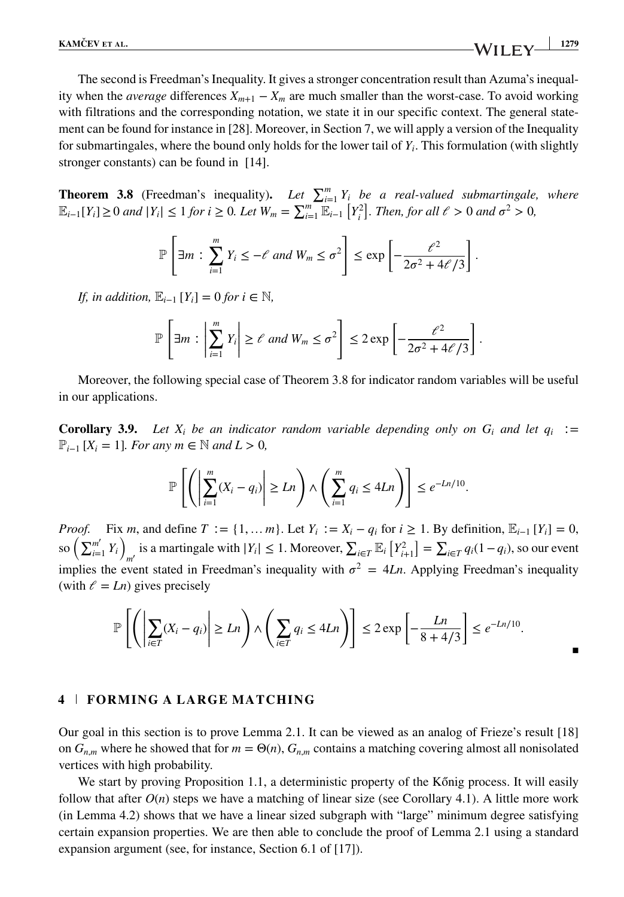The second is Freedman's Inequality. It gives a stronger concentration result than Azuma's inequality when the *average* differences  $X_{m+1} - X_m$  are much smaller than the worst-case. To avoid working with filtrations and the corresponding notation, we state it in our specific context. The general statement can be found for instance in [28]. Moreover, in Section 7, we will apply a version of the Inequality for submartingales, where the bound only holds for the lower tail of  $Y_i$ . This formulation (with slightly stronger constants) can be found in [14].

**Theorem 3.8** (Freedman's inequality). Let  $\sum_{i=1}^{m} Y_i$  be a real-valued submartingale, where  $\mathbb{E}_{i-1}[Y_i] \geq 0$  *and*  $|Y_i| \leq 1$  *for*  $i \geq 0$ *. Let*  $W_m = \sum_{i=1}^m \mathbb{E}_{i-1}[Y_i^2]$ *. Then, for all*  $\ell > 0$  *and*  $\sigma^2 > 0$ *,* 

$$
\mathbb{P}\left[\exists m : \sum_{i=1}^m Y_i \leq -\ell \text{ and } W_m \leq \sigma^2\right] \leq \exp\left[-\frac{\ell^2}{2\sigma^2 + 4\ell/3}\right].
$$

*If, in addition,*  $\mathbb{E}_{i-1}[Y_i] = 0$  *for i* ∈  $\mathbb{N}$ *,* 

$$
\mathbb{P}\left[\exists m : \left|\sum_{i=1}^m Y_i\right| \ge \ell \text{ and } W_m \le \sigma^2\right] \le 2\exp\left[-\frac{\ell^2}{2\sigma^2 + 4\ell/3}\right].
$$

Moreover, the following special case of Theorem 3.8 for indicator random variables will be useful in our applications.

**Corollary 3.9.** *Let*  $X_i$  *be an indicator random variable depending only on*  $G_i$  *and let*  $q_i :=$ P*<sup>i</sup>*−<sup>1</sup> [*Xi* = 1]*. For any m* ∈ N *and L >* 0*,*

$$
\mathbb{P}\left[\left(\left|\sum_{i=1}^m (X_i - q_i)\right| \geq Ln\right) \wedge \left(\sum_{i=1}^m q_i \leq 4Ln\right)\right] \leq e^{-Ln/10}.
$$

*Proof.* Fix *m*, and define  $T := \{1, \ldots m\}$ . Let  $Y_i := X_i - q_i$  for  $i \ge 1$ . By definition,  $\mathbb{E}_{i-1} [Y_i] = 0$ , so  $\left(\sum_{i=1}^{m'} Y_i\right)_{m'}$  is a martingale with  $|Y_i| \leq 1$ . Moreover,  $\sum_{i \in T} \mathbb{E}_i [Y_{i+1}^2] = \sum_{i \in T} q_i (1 - q_i)$ , so our event implies the event stated in Freedman's inequality with  $\sigma^2 = 4Ln$ . Applying Freedman's inequality (with  $\ell = Ln$ ) gives precisely

$$
\mathbb{P}\left[\left(\left|\sum_{i\in T}(X_i-q_i)\right|\geq Ln\right)\wedge\left(\sum_{i\in T}q_i\leq 4Ln\right)\right]\leq 2\exp\left[-\frac{Ln}{8+4/3}\right]\leq e^{-Ln/10}.
$$

#### **4 FORMING A LARGE MATCHING**

Our goal in this section is to prove Lemma 2.1. It can be viewed as an analog of Frieze's result [18] on  $G_{n,m}$  where he showed that for  $m = \Theta(n)$ ,  $G_{n,m}$  contains a matching covering almost all nonisolated vertices with high probability.

We start by proving Proposition 1.1, a deterministic property of the Kőnig process. It will easily follow that after  $O(n)$  steps we have a matching of linear size (see Corollary 4.1). A little more work (in Lemma 4.2) shows that we have a linear sized subgraph with "large" minimum degree satisfying certain expansion properties. We are then able to conclude the proof of Lemma 2.1 using a standard expansion argument (see, for instance, Section 6.1 of [17]).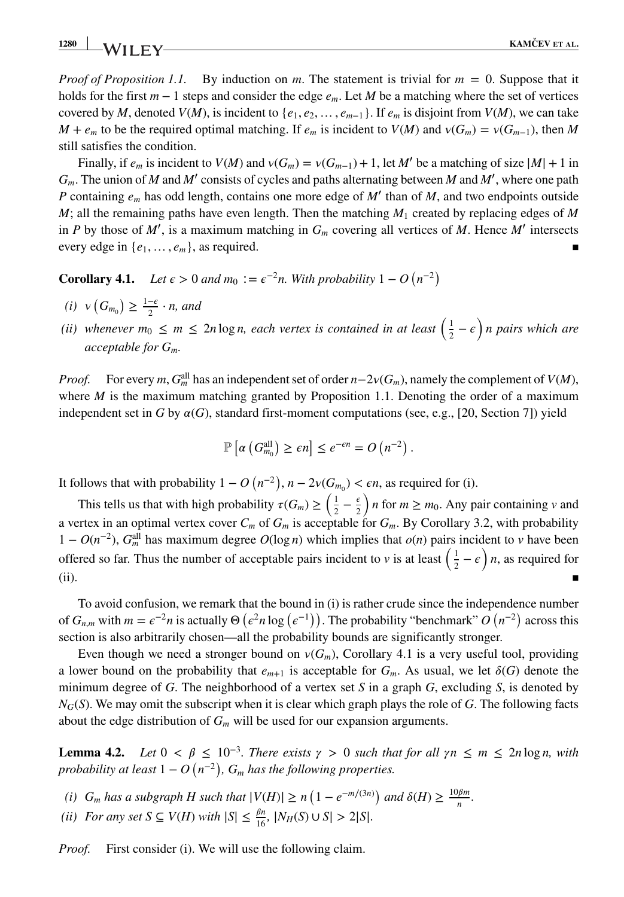*Proof of Proposition 1.1.* By induction on *m*. The statement is trivial for *m* = 0. Suppose that it holds for the first *m* − 1 steps and consider the edge *em*. Let *M* be a matching where the set of vertices covered by *M*, denoted *V*(*M*), is incident to { $e_1, e_2, \ldots, e_{m-1}$ }. If  $e_m$  is disjoint from *V*(*M*), we can take *M* +  $e_m$  to be the required optimal matching. If  $e_m$  is incident to  $V(M)$  and  $V(G_m) = V(G_{m-1})$ , then *M* still satisfies the condition.

Finally, if  $e_m$  is incident to  $V(M)$  and  $V(G_m) = V(G_{m-1}) + 1$ , let M' be a matching of size  $|M| + 1$  in *Gm*. The union of *M* and *M*′ consists of cycles and paths alternating between *M* and *M*′ , where one path *P* containing  $e_m$  has odd length, contains one more edge of *M'* than of *M*, and two endpoints outside *M*; all the remaining paths have even length. Then the matching  $M_1$  created by replacing edges of *M* in *P* by those of *M*′ , is a maximum matching in *Gm* covering all vertices of *M*. Hence *M*′ intersects every edge in  $\{e_1, \ldots, e_m\}$ , as required.

**Corollary 4.1.** *Let*  $\epsilon > 0$  *and*  $m_0 := \epsilon^{-2}n$ *. With probability*  $1 - O(n^{-2})$ 

- $(i) \ v(G_{m_0}) \geq \frac{1-\epsilon}{2} \cdot n$ , and
- (*ii*) whenever  $m_0 \le m \le 2n \log n$ , each vertex is contained in at least  $\left(\frac{1}{2} \epsilon\right)n$  pairs which are *acceptable for Gm.*

*Proof.* For every *m*,  $G_m^{\text{all}}$  has an independent set of order  $n-2\nu(G_m)$ , namely the complement of *V*(*M*), where  $M$  is the maximum matching granted by Proposition 1.1. Denoting the order of a maximum independent set in *G* by  $\alpha(G)$ , standard first-moment computations (see, e.g., [20, Section 7]) yield

$$
\mathbb{P}\left[\alpha\left(G_{m_0}^{\text{all}}\right) \geq \epsilon n\right] \leq e^{-\epsilon n} = O\left(n^{-2}\right)
$$

*.*

It follows that with probability  $1 - O(n^{-2})$ ,  $n - 2\nu(G_{m_0}) < \epsilon n$ , as required for (i).

This tells us that with high probability  $\tau(G_m) \ge \left(\frac{1}{2} - \frac{\epsilon}{2}\right)$ ) *n* for  $m \geq m_0$ . Any pair containing *v* and a vertex in an optimal vertex cover  $C_m$  of  $G_m$  is acceptable for  $G_m$ . By Corollary 3.2, with probability 1 −  $O(n^{-2})$ ,  $G_m^{\text{all}}$  has maximum degree  $O(\log n)$  which implies that  $o(n)$  pairs incident to *v* have been offered so far. Thus the number of acceptable pairs incident to *v* is at least  $(\frac{1}{2} - \epsilon)$  *n*, as required for  $(i)$ .  $\blacksquare$ 

To avoid confusion, we remark that the bound in (i) is rather crude since the independence number of  $G_{n,m}$  with  $m = \epsilon^{-2}n$  is actually  $\Theta(\epsilon^2 n \log(\epsilon^{-1}))$ . The probability "benchmark"  $O(n^{-2})$  across this section is also arbitrarily chosen—all the probability bounds are significantly stronger.

Even though we need a stronger bound on  $v(G_m)$ , Corollary 4.1 is a very useful tool, providing a lower bound on the probability that  $e_{m+1}$  is acceptable for  $G_m$ . As usual, we let  $\delta(G)$  denote the minimum degree of *G*. The neighborhood of a vertex set *S* in a graph *G*, excluding *S*, is denoted by *NG*(*S*). We may omit the subscript when it is clear which graph plays the role of *G*. The following facts about the edge distribution of  $G_m$  will be used for our expansion arguments.

**Lemma 4.2.** *Let*  $0 < \beta \leq 10^{-3}$ *. There exists*  $\gamma > 0$  *such that for all*  $\gamma n \leq m \leq 2n \log n$ *, with probability at least*  $1 - O(n^{-2})$ ,  $G_m$  *has the following properties.* 

- *(i)*  $G_m$  *has a subgraph H such that*  $|V(H)| \ge n\left(1 e^{-m/(3n)}\right)$  *and*  $\delta(H) \ge \frac{10\beta m}{n}$ .
- *(ii) For any set*  $S \subseteq V(H)$  *with*  $|S| \le \frac{\beta n}{16}$ ,  $|N_H(S) \cup S| > 2|S|$ .

*Proof.* First consider (i). We will use the following claim.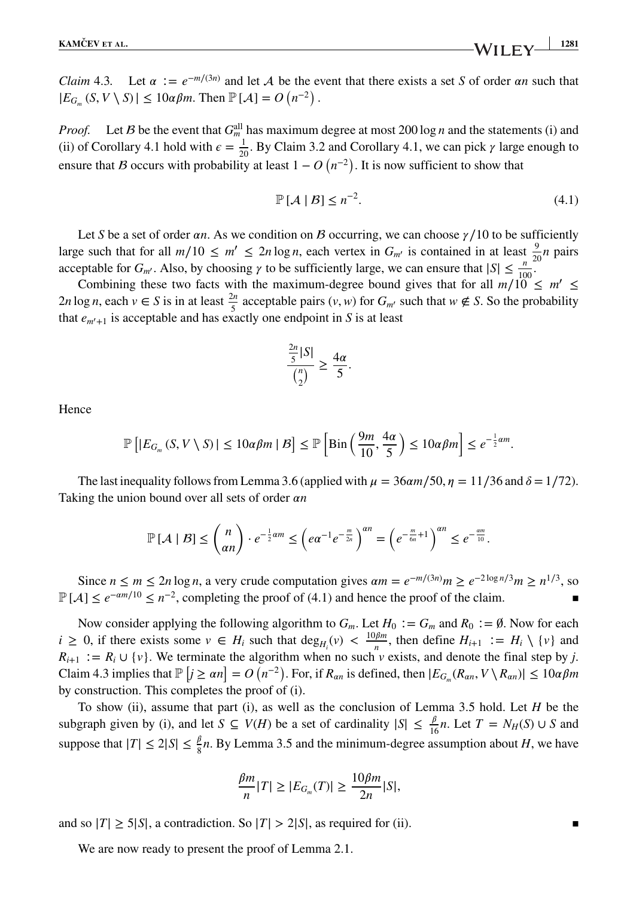*Claim* 4.3. Let  $\alpha := e^{-m/(3n)}$  and let A be the event that there exists a set *S* of order  $\alpha n$  such that  $|E_{G_m}(S, V \setminus S)| \leq 10\alpha\beta m$ . Then  $\mathbb{P}[\mathcal{A}] = O(n^{-2})$ .

*Proof.* Let *B* be the event that  $G_m^{\text{all}}$  has maximum degree at most 200 log *n* and the statements (i) and (ii) of Corollary 4.1 hold with  $\epsilon = \frac{1}{20}$ . By Claim 3.2 and Corollary 4.1, we can pick  $\gamma$  large enough to ensure that *B* occurs with probability at least  $1 - O(n^{-2})$ . It is now sufficient to show that

$$
\mathbb{P}\left[\mathcal{A}\mid\mathcal{B}\right]\leq n^{-2}.\tag{4.1}
$$

Let *S* be a set of order  $\alpha n$ . As we condition on *B* occurring, we can choose  $\gamma/10$  to be sufficiently large such that for all  $m/10 \le m' \le 2n \log n$ , each vertex in  $G_{m'}$  is contained in at least  $\frac{9}{20}n$  pairs acceptable for  $G_m$ <sup>*'*</sup>. Also, by choosing  $\gamma$  to be sufficiently large, we can ensure that  $|S| \leq \frac{n}{100}$ <sup>2</sup>.

Combining these two facts with the maximum-degree bound gives that for all  $m/10 \le m' \le$ 2*n* log *n*, each *v* ∈ *S* is in at least  $\frac{2n}{5}$  acceptable pairs (*v*, *w*) for *G<sub>m</sub>*′ such that *w* ∉ *S*. So the probability that  $e_{m'+1}$  is acceptable and has exactly one endpoint in *S* is at least

$$
\frac{\frac{2n}{5}|S|}{\binom{n}{2}} \ge \frac{4\alpha}{5}.
$$

Hence

$$
\mathbb{P}\left[|E_{G_m}(S,V\setminus S)|\leq 10\alpha\beta m\mid\mathcal{B}\right]\leq \mathbb{P}\left[\mathrm{Bin}\left(\frac{9m}{10},\frac{4\alpha}{5}\right)\leq 10\alpha\beta m\right]\leq e^{-\frac{1}{2}\alpha m}.
$$

The last inequality follows from Lemma 3.6 (applied with  $\mu = 36 \alpha m/50$ ,  $\eta = 11/36$  and  $\delta = 1/72$ ). Taking the union bound over all sets of order  $\alpha n$ 

$$
\mathbb{P}\left[\mathcal{A} \mid \mathcal{B}\right] \leq {n \choose \alpha n} \cdot e^{-\frac{1}{2}\alpha m} \leq \left(e\alpha^{-1}e^{-\frac{m}{2n}}\right)^{\alpha n} = \left(e^{-\frac{m}{6n}+1}\right)^{\alpha n} \leq e^{-\frac{\alpha m}{10}}.
$$

Since *n* ≤ *m* ≤ 2*n* log *n*, a very crude computation gives  $\alpha m = e^{-m/(3n)}m \ge e^{-2\log n/3}m \ge n^{1/3}$ , so  $\mathbb{P}[\mathcal{A}]$  ≤  $e^{-\alpha m/10}$  ≤  $n^{-2}$ , completing the proof of (4.1) and hence the proof of the claim.

Now consider applying the following algorithm to  $G_m$ . Let  $H_0 := G_m$  and  $R_0 := \emptyset$ . Now for each *i* ≥ 0, if there exists some  $v \text{ ∈ } H_i$  such that  $\deg_{H_i}(v) < \frac{10\beta m}{n}$ , then define  $H_{i+1} := H_i \setminus \{v\}$  and  $R_{i+1}$  : =  $R_i \cup \{v\}$ . We terminate the algorithm when no such *v* exists, and denote the final step by *j*. Claim 4.3 implies that  $\mathbb{P}\left[j \ge \alpha n\right] = O\left(n^{-2}\right)$ . For, if  $R_{\alpha n}$  is defined, then  $|E_{G_m}(R_{\alpha n}, V \setminus R_{\alpha n})| \le 10\alpha\beta m$ by construction. This completes the proof of (i).

To show (ii), assume that part (i), as well as the conclusion of Lemma 3.5 hold. Let *H* be the subgraph given by (i), and let  $S \subseteq V(H)$  be a set of cardinality  $|S| \leq \frac{\beta}{16}n$ . Let  $T = N_H(S) \cup S$  and suppose that  $|T| \le 2|S| \le \frac{\beta}{8}n$ . By Lemma 3.5 and the minimum-degree assumption about *H*, we have

$$
\frac{\beta m}{n}|T| \ge |E_{G_m}(T)| \ge \frac{10\beta m}{2n}|S|,
$$

and so  $|T| \ge 5|S|$ , a contradiction. So  $|T| > 2|S|$ , as required for (ii).

We are now ready to present the proof of Lemma 2.1.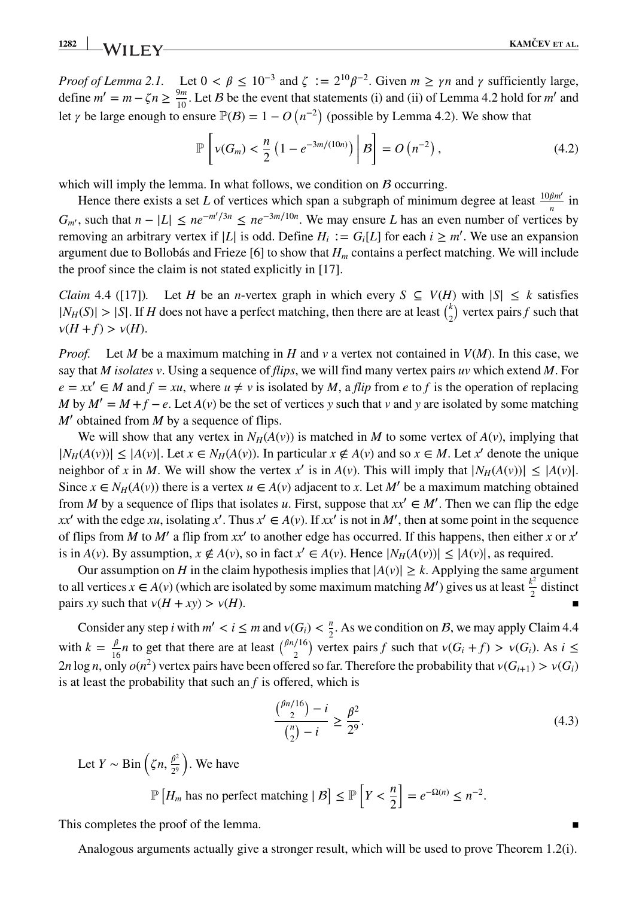**1282 KAMČEV ET AL. KAMČEV ET AL.** 

*Proof of Lemma 2.1.* Let  $0 < \beta \leq 10^{-3}$  and  $\zeta := 2^{10} \beta^{-2}$ . Given  $m \geq \gamma n$  and  $\gamma$  sufficiently large, define  $m' = m - \zeta n \ge \frac{9m}{10}$ . Let *B* be the event that statements (i) and (ii) of Lemma 4.2 hold for *m'* and let  $\gamma$  be large enough to ensure  $\mathbb{P}(B) = 1 - O(n^{-2})$  (possible by Lemma 4.2). We show that

$$
\mathbb{P}\left[\nu(G_m) < \frac{n}{2} \left(1 - e^{-3m/(10n)}\right) \Big| \mathcal{B}\right] = O\left(n^{-2}\right),\tag{4.2}
$$

which will imply the lemma. In what follows, we condition on  $\beta$  occurring.

Hence there exists a set *L* of vertices which span a subgraph of minimum degree at least  $\frac{10\beta m'}{n}$  in  $G_m$ ', such that  $n - |L| \leq ne^{-m'/3n} \leq ne^{-3m/10n}$ . We may ensure *L* has an even number of vertices by removing an arbitrary vertex if  $|L|$  is odd. Define  $H_i := G_i[L]$  for each  $i \ge m'$ . We use an expansion argument due to Bollobás and Frieze [6] to show that *Hm* contains a perfect matching. We will include the proof since the claim is not stated explicitly in [17].

*Claim* 4.4 ([17]). Let *H* be an *n*-vertex graph in which every  $S \subseteq V(H)$  with  $|S| \leq k$  satisfies  $|N_H(S)| > |S|$ . If *H* does not have a perfect matching, then there are at least  $\binom{k}{2}$  vertex pairs *f* such that  $\nu(H + f) > \nu(H)$ .

*Proof.* Let *M* be a maximum matching in *H* and *v* a vertex not contained in *V*(*M*). In this case, we say that *M isolates v*. Using a sequence of *flips*, we will find many vertex pairs *uv* which extend *M*. For  $e = xx' \in M$  and  $f = xu$ , where  $u \neq v$  is isolated by *M*, a *flip* from *e* to *f* is the operation of replacing *M* by  $M' = M + f - e$ . Let  $A(v)$  be the set of vertices y such that v and y are isolated by some matching *M*′ obtained from *M* by a sequence of flips.

We will show that any vertex in  $N_H(A(v))$  is matched in *M* to some vertex of  $A(v)$ , implying that  $|N_H(A(v))|$  ≤  $|A(v)|$ . Let  $x \in N_H(A(v))$ . In particular  $x \notin A(v)$  and so  $x \in M$ . Let  $x'$  denote the unique neighbor of *x* in *M*. We will show the vertex *x'* is in  $A(v)$ . This will imply that  $|N_H(A(v))| \leq |A(v)|$ . Since  $x \in N_H(A(v))$  there is a vertex  $u \in A(v)$  adjacent to x. Let M' be a maximum matching obtained from *M* by a sequence of flips that isolates *u*. First, suppose that  $xx' \in M'$ . Then we can flip the edge *xx'* with the edge *xu*, isolating *x'*. Thus  $x' \in A(v)$ . If  $xx'$  is not in *M'*, then at some point in the sequence of flips from *M* to *M'* a flip from  $xx'$  to another edge has occurred. If this happens, then either *x* or  $x'$ is in  $A(v)$ . By assumption,  $x \notin A(v)$ , so in fact  $x' \in A(v)$ . Hence  $|N_H(A(v))| \leq |A(v)|$ , as required.

Our assumption on *H* in the claim hypothesis implies that  $|A(v)| \geq k$ . Applying the same argument to all vertices  $x \in A(v)$  (which are isolated by some maximum matching *M'*) gives us at least  $\frac{k^2}{2}$  distinct pairs *xy* such that  $v(H + xy) > v(H)$ .

Consider any step *i* with  $m' < i \le m$  and  $v(G_i) < \frac{n}{2}$ . As we condition on *B*, we may apply Claim 4.4 with  $k = \frac{\beta}{16}n$  to get that there are at least  $\binom{\beta n/16}{2}$  vertex pairs *f* such that  $v(G_i + f) > v(G_i)$ . As  $i \leq$ 2*n* log *n*, only  $o(n^2)$  vertex pairs have been offered so far. Therefore the probability that  $v(G_{i+1}) > v(G_i)$ is at least the probability that such an *f* is offered, which is

$$
\frac{\binom{\beta n/16}{2} - i}{\binom{n}{2} - i} \ge \frac{\beta^2}{2^9}.\tag{4.3}
$$

Let *Y* ~ Bin  $\left(\zeta n, \frac{\beta^2}{2^9}\right)$ ) . We have

$$
\mathbb{P}\left[H_m \text{ has no perfect matching} \mid B\right] \le \mathbb{P}\left[Y < \frac{n}{2}\right] = e^{-\Omega(n)} \le n^{-2}.
$$

This completes the proof of the lemma.

Analogous arguments actually give a stronger result, which will be used to prove Theorem 1.2(i).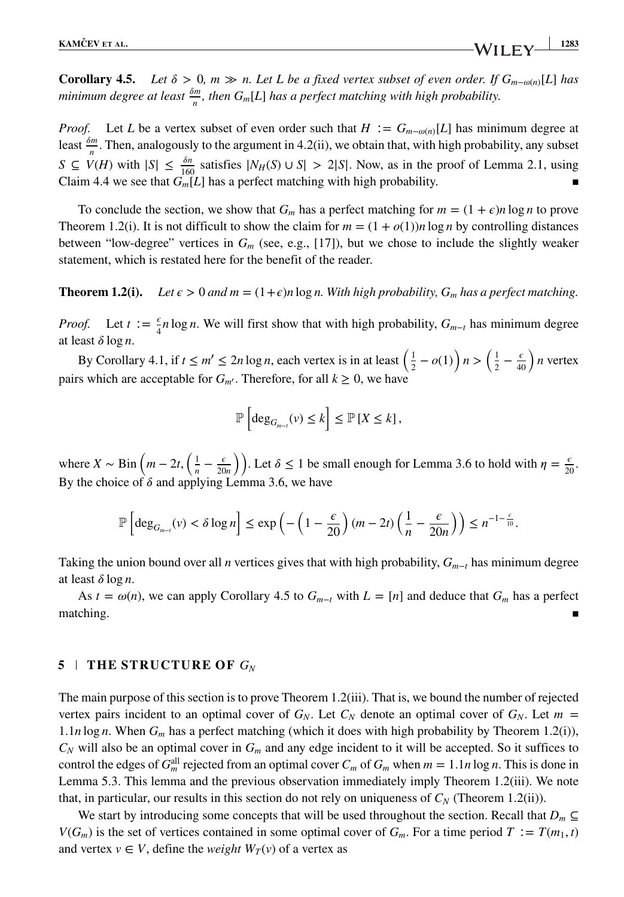**Corollary 4.5.** *Let*  $\delta$  > 0*, m*  $\gg$  *n. Let L be a fixed vertex subset of even order. If*  $G_{m-o(n)}[L]$  *has minimum degree at least*  $\frac{\delta m}{n}$ *, then*  $G_m[L]$  *has a perfect matching with high probability.* 

*Proof.* Let *L* be a vertex subset of even order such that  $H := G_{m-o(n)}[L]$  has minimum degree at least  $\frac{\delta m}{n}$ . Then, analogously to the argument in 4.2(ii), we obtain that, with high probability, any subset *S* ⊆ *V*(*H*) with  $|S| \le \frac{\delta n}{160}$  satisfies  $|N_H(S) \cup S| > 2|S|$ . Now, as in the proof of Lemma 2.1, using Claim 4.4 we see that  $G_m[L]$  has a perfect matching with high probability.

To conclude the section, we show that  $G_m$  has a perfect matching for  $m = (1 + \epsilon)n \log n$  to prove Theorem 1.2(i). It is not difficult to show the claim for  $m = (1 + o(1))n \log n$  by controlling distances between "low-degree" vertices in *Gm* (see, e.g., [17]), but we chose to include the slightly weaker statement, which is restated here for the benefit of the reader.

#### **Theorem 1.2(i).** Let  $\epsilon > 0$  and  $m = (1+\epsilon)n \log n$ . With high probability,  $G_m$  has a perfect matching.

*Proof.* Let  $t := \frac{\epsilon}{4} n \log n$ . We will first show that with high probability,  $G_{m-t}$  has minimum degree at least  $\delta \log n$ .

By Corollary 4.1, if  $t \le m' \le 2n \log n$ , each vertex is in at least  $\left(\frac{1}{2} - o(1)\right)n > \left(\frac{1}{2} - \frac{\epsilon}{40}\right)n$  vertex pairs which are acceptable for  $G_{m'}$ . Therefore, for all  $k \geq 0$ , we have

$$
\mathbb{P}\left[\deg_{G_{m-t}}(v)\leq k\right]\leq \mathbb{P}\left[X\leq k\right],
$$

where  $X \sim \text{Bin}\left(m - 2t, \left(\frac{1}{n} - \frac{\epsilon}{20n}\right)\right)$ . Let  $\delta \le 1$  be small enough for Lemma 3.6 to hold with  $\eta = \frac{\epsilon}{20}$ . By the choice of  $\delta$  and applying Lemma 3.6, we have

$$
\mathbb{P}\left[\deg_{G_{m-i}}(v) < \delta \log n\right] \le \exp\left(-\left(1-\frac{\epsilon}{20}\right)(m-2t)\left(\frac{1}{n}-\frac{\epsilon}{20n}\right)\right) \le n^{-1-\frac{\epsilon}{10}}.
$$

Taking the union bound over all *n* vertices gives that with high probability,  $G_{m-t}$  has minimum degree at least  $\delta \log n$ .

As  $t = \omega(n)$ , we can apply Corollary 4.5 to  $G_{m-t}$  with  $L = [n]$  and deduce that  $G_m$  has a perfect  $\blacksquare$  matching.

#### **5 THE STRUCTURE OF** *GN*

The main purpose of this section is to prove Theorem 1.2(iii). That is, we bound the number of rejected vertex pairs incident to an optimal cover of  $G_N$ . Let  $C_N$  denote an optimal cover of  $G_N$ . Let  $m =$ 1*.*1*n* log *n*. When *Gm* has a perfect matching (which it does with high probability by Theorem 1.2(i)), *CN* will also be an optimal cover in *Gm* and any edge incident to it will be accepted. So it suffices to control the edges of  $G_m^{\text{all}}$  rejected from an optimal cover  $C_m$  of  $G_m$  when  $m = 1.1n \log n$ . This is done in Lemma 5.3. This lemma and the previous observation immediately imply Theorem 1.2(iii). We note that, in particular, our results in this section do not rely on uniqueness of  $C_N$  (Theorem 1.2(ii)).

We start by introducing some concepts that will be used throughout the section. Recall that  $D_m \subseteq$ *V*(*G<sub>m</sub>*) is the set of vertices contained in some optimal cover of *G<sub>m</sub>*. For a time period *T* ∶= *T*(*m*<sub>1</sub>*, t*) and vertex  $v \in V$ , define the *weight*  $W_T(v)$  of a vertex as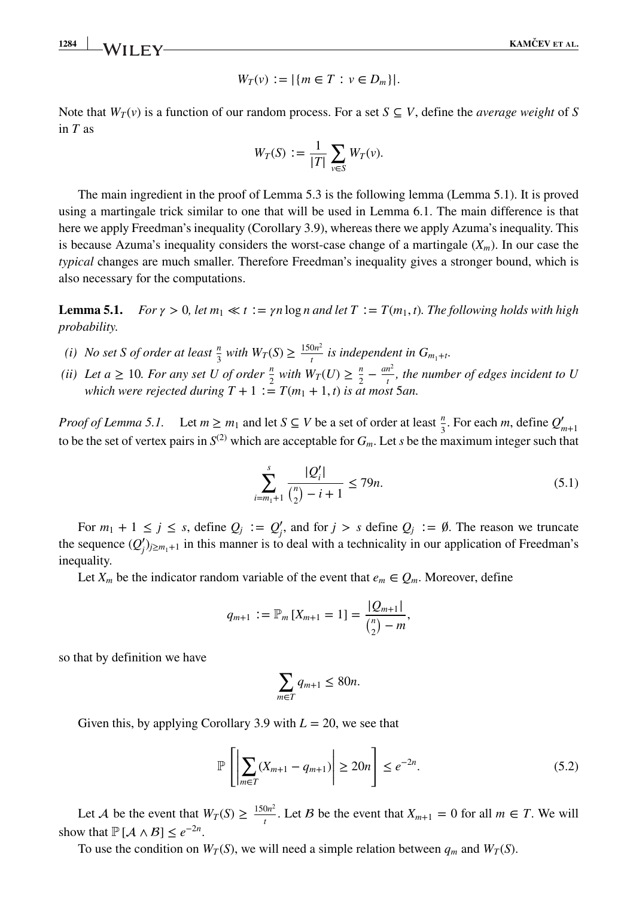**1284 KAMČEV ET AL. KAMČEV ET AL.** 

$$
W_T(v) := |\{ m \in T : v \in D_m \}|.
$$

Note that  $W_T(v)$  is a function of our random process. For a set  $S \subseteq V$ , define the *average weight* of *S* in *T* as

$$
W_T(S) := \frac{1}{|T|} \sum_{v \in S} W_T(v).
$$

The main ingredient in the proof of Lemma 5.3 is the following lemma (Lemma 5.1). It is proved using a martingale trick similar to one that will be used in Lemma 6.1. The main difference is that here we apply Freedman's inequality (Corollary 3.9), whereas there we apply Azuma's inequality. This is because Azuma's inequality considers the worst-case change of a martingale  $(X_m)$ . In our case the *typical* changes are much smaller. Therefore Freedman's inequality gives a stronger bound, which is also necessary for the computations.

**Lemma 5.1.** *For*  $\gamma > 0$ , let  $m_1 \ll t := \gamma n \log n$  and let  $T := T(m_1, t)$ . The following holds with high *probability.*

- *(i) No set S of order at least*  $\frac{n}{3}$  *with*  $W_T(S) \ge \frac{150n^2}{t}$  *is independent in*  $G_{m_1+t}$ *.*
- *(ii)* Let  $a \ge 10$ . For any set U of order  $\frac{n}{2}$  with  $W_T(U) \ge \frac{n}{2} \frac{an^2}{t}$ , the number of edges incident to U *which were rejected during*  $T + 1 := T(m_1 + 1, t)$  *is at most* 5*an.*

*Proof of Lemma 5.1*. Let  $m \ge m_1$  and let  $S \subseteq V$  be a set of order at least  $\frac{n}{3}$ . For each *m*, define  $Q'_{m+1}$ to be the set of vertex pairs in  $S^{(2)}$  which are acceptable for  $G_m$ . Let *s* be the maximum integer such that

$$
\sum_{i=m_1+1}^{s} \frac{|Q_i'|}{\binom{n}{2} - i + 1} \le 79n.
$$
\n(5.1)

For  $m_1 + 1 \le j \le s$ , define  $Q_j := Q'_j$ , and for  $j > s$  define  $Q_j := \emptyset$ . The reason we truncate the sequence  $(Q'_j)_{j \geq m_1+1}$  in this manner is to deal with a technicality in our application of Freedman's inequality.

Let  $X_m$  be the indicator random variable of the event that  $e_m \in Q_m$ . Moreover, define

$$
q_{m+1} := \mathbb{P}_m \left[ X_{m+1} = 1 \right] = \frac{|Q_{m+1}|}{\binom{n}{2} - m},
$$

so that by definition we have

$$
\sum_{m \in T} q_{m+1} \le 80n.
$$

Given this, by applying Corollary 3.9 with  $L = 20$ , we see that

$$
\mathbb{P}\left[\left|\sum_{m\in T}(X_{m+1} - q_{m+1})\right| \ge 20n\right] \le e^{-2n}.\tag{5.2}
$$

Let *A* be the event that  $W_T(S) \ge \frac{150n^2}{t}$ . Let *B* be the event that  $X_{m+1} = 0$  for all  $m \in T$ . We will show that  $\mathbb{P}[\mathcal{A} \wedge \mathcal{B}] \leq e^{-2n}$ .

To use the condition on  $W_T(S)$ , we will need a simple relation between  $q_m$  and  $W_T(S)$ .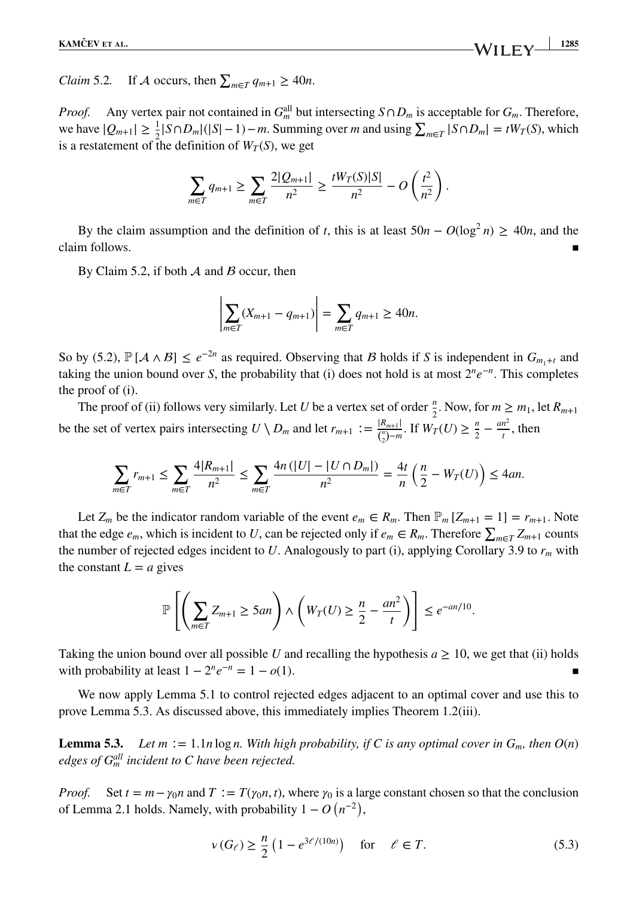*Claim* 5.2. If *A* occurs, then  $\sum_{m \in T} q_{m+1} \ge 40n$ .

*Proof.* Any vertex pair not contained in  $G_m^{\text{all}}$  but intersecting  $S \cap D_m$  is acceptable for  $G_m$ . Therefore, we have  $|Q_{m+1}| \ge \frac{1}{2} |S \cap D_m|(|S|-1) - m$ . Summing over *m* and using  $\sum_{m \in T} |S \cap D_m| = tW_T(S)$ , which is a restatement of the definition of  $W_T(S)$ , we get

$$
\sum_{m\in T} q_{m+1} \ge \sum_{m\in T} \frac{2|Q_{m+1}|}{n^2} \ge \frac{tW_T(S)|S|}{n^2} - O\left(\frac{t^2}{n^2}\right).
$$

By the claim assumption and the definition of *t*, this is at least  $50n - O(\log^2 n) \ge 40n$ , and the claim follows.

By Claim 5.2, if both  $A$  and  $B$  occur, then

$$
\left| \sum_{m \in T} (X_{m+1} - q_{m+1}) \right| = \sum_{m \in T} q_{m+1} \ge 40n.
$$

So by (5.2),  $\mathbb{P}[\mathcal{A} \wedge \mathcal{B}] \leq e^{-2n}$  as required. Observing that *B* holds if *S* is independent in  $G_{m_1+t}$  and taking the union bound over *S*, the probability that (i) does not hold is at most  $2^n e^{-n}$ . This completes the proof of (i).

The proof of (ii) follows very similarly. Let *U* be a vertex set of order  $\frac{n}{2}$ . Now, for  $m \ge m_1$ , let  $R_{m+1}$ be the set of vertex pairs intersecting  $U \setminus D_m$  and let  $r_{m+1} := \frac{|R_{m+1}|}{\binom{n}{2} - m}$ . If  $W_T(U) \ge \frac{n}{2} - \frac{an^2}{t}$ , then

$$
\sum_{m\in T} r_{m+1} \le \sum_{m\in T} \frac{4|R_{m+1}|}{n^2} \le \sum_{m\in T} \frac{4n(|U| - |U \cap D_m|)}{n^2} = \frac{4t}{n} \left(\frac{n}{2} - W_T(U)\right) \le 4an.
$$

Let  $Z_m$  be the indicator random variable of the event  $e_m \in R_m$ . Then  $\mathbb{P}_m[Z_{m+1} = 1] = r_{m+1}$ . Note that the edge  $e_m$ , which is incident to *U*, can be rejected only if  $e_m \in R_m$ . Therefore  $\sum_{m \in T} Z_{m+1}$  counts the number of rejected edges incident to  $U$ . Analogously to part (i), applying Corollary 3.9 to  $r_m$  with the constant  $L = a$  gives

$$
\mathbb{P}\left[\left(\sum_{m\in T} Z_{m+1} \ge 5an\right) \wedge \left(W_T(U) \ge \frac{n}{2} - \frac{an^2}{t}\right)\right] \le e^{-an/10}.
$$

Taking the union bound over all possible *U* and recalling the hypothesis  $a \ge 10$ , we get that (ii) holds with probability at least  $1 - 2^n e^{-n} = 1 - o(1)$ .

We now apply Lemma 5.1 to control rejected edges adjacent to an optimal cover and use this to prove Lemma 5.3. As discussed above, this immediately implies Theorem 1.2(iii).

**Lemma 5.3.** *Let m* := 1*.1n* log *n.* With high probability, if C is any optimal cover in  $G_m$ , then  $O(n)$ *edges of Gall <sup>m</sup> incident to C have been rejected.*

*Proof.* Set  $t = m - \gamma_0 n$  and  $T := T(\gamma_0 n, t)$ , where  $\gamma_0$  is a large constant chosen so that the conclusion of Lemma 2.1 holds. Namely, with probability  $1 - O(n^{-2})$ ,

$$
\nu(G_{\ell}) \ge \frac{n}{2} \left(1 - e^{3\ell/(10n)}\right) \quad \text{for} \quad \ell \in T. \tag{5.3}
$$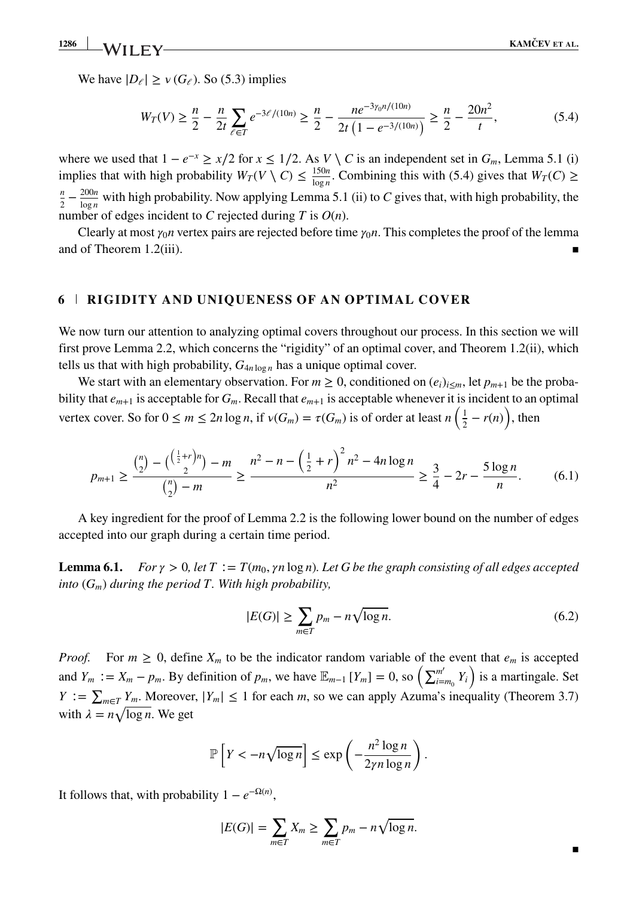▪

We have  $|D_e| \ge v(G_e)$ . So (5.3) implies

$$
W_T(V) \ge \frac{n}{2} - \frac{n}{2t} \sum_{\ell \in T} e^{-3\ell/(10n)} \ge \frac{n}{2} - \frac{ne^{-3\gamma_0 n/(10n)}}{2t\left(1 - e^{-3/(10n)}\right)} \ge \frac{n}{2} - \frac{20n^2}{t},\tag{5.4}
$$

where we used that  $1 - e^{-x} \ge x/2$  for  $x \le 1/2$ . As  $V \setminus C$  is an independent set in  $G_m$ , Lemma 5.1 (i) implies that with high probability  $W_T(V \setminus C) \leq \frac{150n}{\log n}$ . Combining this with (5.4) gives that  $W_T(C) \geq$  $\frac{n}{2} - \frac{200n}{\log n}$  with high probability. Now applying Lemma 5.1 (ii) to *C* gives that, with high probability, the number of edges incident to *C* rejected during *T* is *O*(*n*).

Clearly at most  $\gamma_0$ *n* vertex pairs are rejected before time  $\gamma_0$ *n*. This completes the proof of the lemma and of Theorem  $1.2(iii)$ .

# **6 RIGIDITY AND UNIQUENESS OF AN OPTIMAL COVER**

We now turn our attention to analyzing optimal covers throughout our process. In this section we will first prove Lemma 2.2, which concerns the "rigidity" of an optimal cover, and Theorem 1.2(ii), which tells us that with high probability,  $G_{4n \log n}$  has a unique optimal cover.

We start with an elementary observation. For  $m \geq 0$ , conditioned on  $(e_i)_{i \leq m}$ , let  $p_{m+1}$  be the probability that  $e_{m+1}$  is acceptable for  $G_m$ . Recall that  $e_{m+1}$  is acceptable whenever it is incident to an optimal vertex cover. So for  $0 \le m \le 2n \log n$ , if  $v(G_m) = \tau(G_m)$  is of order at least  $n\left(\frac{1}{2} - r(n)\right)$ , then

$$
p_{m+1} \ge \frac{{n \choose 2} - {(\frac{1}{2} + r)n \choose 2} - m}{\frac{n}{2} - m} \ge \frac{n^2 - n - (\frac{1}{2} + r)^2 n^2 - 4n \log n}{n^2} \ge \frac{3}{4} - 2r - \frac{5 \log n}{n}.\tag{6.1}
$$

A key ingredient for the proof of Lemma 2.2 is the following lower bound on the number of edges accepted into our graph during a certain time period.

**Lemma 6.1.** *For*  $\gamma > 0$ , let  $T := T(m_0, \gamma n \log n)$ . Let G be the graph consisting of all edges accepted *into* (*Gm*) *during the period T. With high probability,*

$$
|E(G)| \ge \sum_{m \in T} p_m - n\sqrt{\log n}.\tag{6.2}
$$

*Proof.* For  $m \geq 0$ , define  $X_m$  to be the indicator random variable of the event that  $e_m$  is accepted and  $Y_m := X_m - p_m$ . By definition of  $p_m$ , we have  $\mathbb{E}_{m-1}[Y_m] = 0$ , so  $\left(\sum_{i=m_0}^{m'} Y_i\right)$  is a martingale. Set  $Y := \sum_{m \in T} Y_m$ . Moreover,  $|Y_m| \le 1$  for each *m*, so we can apply Azuma's inequality (Theorem 3.7) with  $\lambda = n \sqrt{\log n}$ . We get

$$
\mathbb{P}\left[Y < -n\sqrt{\log n}\right] \le \exp\left(-\frac{n^2\log n}{2\gamma n\log n}\right).
$$

It follows that, with probability  $1 - e^{-\Omega(n)}$ ,

$$
|E(G)| = \sum_{m \in T} X_m \ge \sum_{m \in T} p_m - n\sqrt{\log n}.
$$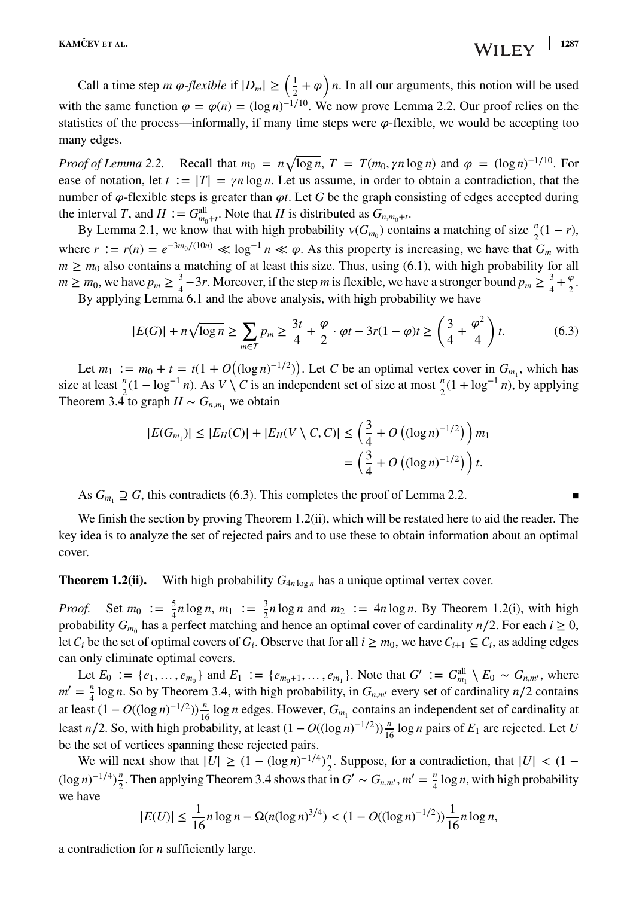Call a time step *m*  $\varphi$ -*flexible* if  $|D_m| \geq \left(\frac{1}{2} + \varphi\right)n$ . In all our arguments, this notion will be used with the same function  $\varphi = \varphi(n) = (\log n)^{-1/10}$ . We now prove Lemma 2.2. Our proof relies on the statistics of the process—informally, if many time steps were  $\varphi$ -flexible, we would be accepting too many edges.

*Proof of Lemma 2.2.* Recall that  $m_0 = n\sqrt{\log n}$ ,  $T = T(m_0, \gamma n \log n)$  and  $\varphi = (\log n)^{-1/10}$ . For ease of notation, let  $t := |T| = \gamma n \log n$ . Let us assume, in order to obtain a contradiction, that the number of  $\varphi$ -flexible steps is greater than  $\varphi t$ . Let *G* be the graph consisting of edges accepted during the interval *T*, and  $H := G_{m_0+t}^{\text{all}}$ . Note that *H* is distributed as  $G_{n,m_0+t}$ .

By Lemma 2.1, we know that with high probability  $v(G_{m_0})$  contains a matching of size  $\frac{n}{2}(1 - r)$ , where  $r := r(n) = e^{-3m_0/(10n)} \ll \log^{-1} n \ll \varphi$ . As this property is increasing, we have that  $G_m$  with  $m \geq m_0$  also contains a matching of at least this size. Thus, using (6.1), with high probability for all  $m \ge m_0$ , we have  $p_m \ge \frac{3}{4} - 3r$ . Moreover, if the step *m* is flexible, we have a stronger bound  $p_m \ge \frac{3}{4} + \frac{\varphi}{2}$ .

By applying Lemma 6.1 and the above analysis, with high probability we have

$$
|E(G)| + n\sqrt{\log n} \ge \sum_{m \in T} p_m \ge \frac{3t}{4} + \frac{\varphi}{2} \cdot \varphi t - 3r(1 - \varphi)t \ge \left(\frac{3}{4} + \frac{\varphi^2}{4}\right)t.
$$
 (6.3)

Let  $m_1 := m_0 + t = t(1 + O((\log n)^{-1/2}))$ . Let *C* be an optimal vertex cover in  $G_{m_1}$ , which has size at least  $\frac{n}{2}(1 - \log^{-1} n)$ . As *V* \ *C* is an independent set of size at most  $\frac{n}{2}(1 + \log^{-1} n)$ , by applying Theorem 3.4 to graph  $H \sim G_{n,m}$  we obtain

$$
|E(G_{m_1})| \le |E_H(C)| + |E_H(V \setminus C, C)| \le \left(\frac{3}{4} + O\left((\log n)^{-1/2}\right)\right) m_1
$$
  
=  $\left(\frac{3}{4} + O\left((\log n)^{-1/2}\right)\right) t.$ 

As  $G_{m_1} \supseteq G$ , this contradicts (6.3). This completes the proof of Lemma 2.2.

We finish the section by proving Theorem 1.2(ii), which will be restated here to aid the reader. The key idea is to analyze the set of rejected pairs and to use these to obtain information about an optimal cover.

**Theorem 1.2(ii).** With high probability  $G_{4n \log n}$  has a unique optimal vertex cover.

*Proof.* Set  $m_0 := \frac{5}{4}n \log n$ ,  $m_1 := \frac{3}{2}n \log n$  and  $m_2 := 4n \log n$ . By Theorem 1.2(i), with high probability  $G_{m_0}$  has a perfect matching and hence an optimal cover of cardinality *n*/2. For each *i* ≥ 0, let  $C_i$  be the set of optimal covers of  $G_i$ . Observe that for all  $i \geq m_0$ , we have  $C_{i+1} \subseteq C_i$ , as adding edges can only eliminate optimal covers.

Let  $E_0 := \{e_1, \ldots, e_{m_0}\}$  and  $E_1 := \{e_{m_0+1}, \ldots, e_{m_1}\}$ . Note that  $G' := G_{m_1}^{\text{all}} \setminus E_0 \sim G_{n,m'}$ , where  $m' = \frac{n}{4} \log n$ . So by Theorem 3.4, with high probability, in *G<sub>n,m'</sub>* every set of cardinality *n*/2 contains at least  $(1 - O((\log n)^{-1/2})) \frac{n}{16} \log n$  edges. However,  $G_{m_1}$  contains an independent set of cardinality at least *n*/2. So, with high probability, at least  $(1 - O((\log n)^{-1/2}))\frac{n}{16} \log n$  pairs of  $E_1$  are rejected. Let *U* be the set of vertices spanning these rejected pairs.

We will next show that  $|U| \ge (1 - (\log n)^{-1/4})\frac{n}{2}$ 2. Suppose, for a contradiction, that  $|U| < (1 - \frac{1}{2})$  $(\log n)^{-1/4}$  $\frac{\pi}{2}$  $\frac{n}{2}$ . Then applying Theorem 3.4 shows that in *G'* ∼ *G<sub>n,m'</sub>*, *m'* =  $\frac{n}{4}$  log *n*, with high probability we have

$$
|E(U)| \le \frac{1}{16} n \log n - \Omega(n(\log n)^{3/4}) < (1 - O((\log n)^{-1/2})) \frac{1}{16} n \log n,
$$

a contradiction for *n* sufficiently large.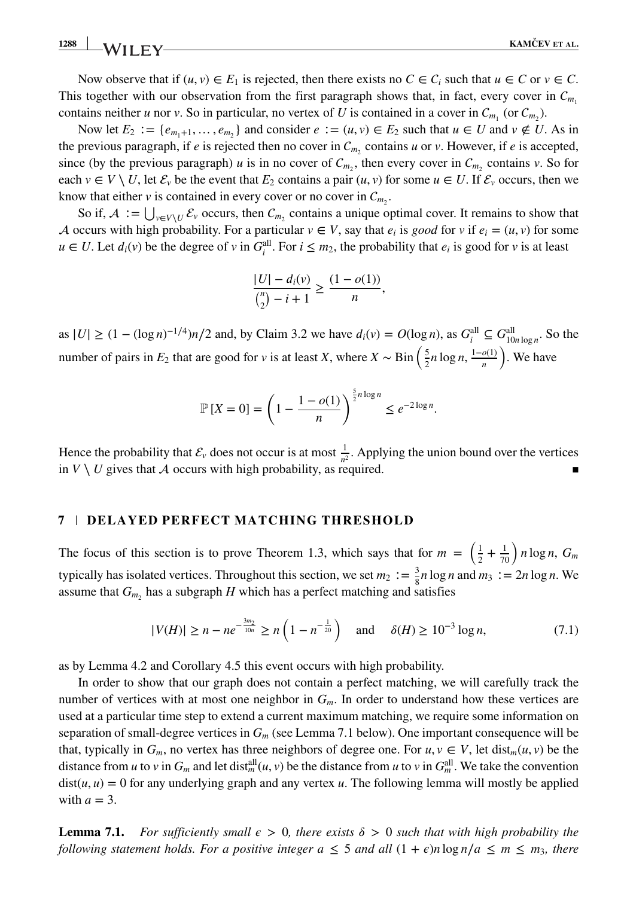Now observe that if  $(u, v) \in E_1$  is rejected, then there exists no  $C \in C_i$  such that  $u \in C$  or  $v \in C$ . This together with our observation from the first paragraph shows that, in fact, every cover in  $C_{m}$ contains neither *u* nor *v*. So in particular, no vertex of *U* is contained in a cover in  $C_{m_1}$  (or  $C_{m_2}$ ).

Now let  $E_2 := \{e_{m_1+1}, \ldots, e_{m_n}\}\$  and consider  $e := (u, v) \in E_2$  such that  $u \in U$  and  $v \notin U$ . As in the previous paragraph, if *e* is rejected then no cover in  $C_{m_2}$  contains *u* or *v*. However, if *e* is accepted, since (by the previous paragraph) *u* is in no cover of  $C_{m_2}$ , then every cover in  $C_{m_2}$  contains *v*. So for each  $v \in V \setminus U$ , let  $\mathcal{E}_v$  be the event that  $E_2$  contains a pair  $(u, v)$  for some  $u \in U$ . If  $\mathcal{E}_v$  occurs, then we know that either *v* is contained in every cover or no cover in  $C_m$ .

So if,  $A := \bigcup_{v \in V \setminus U} \mathcal{E}_v$  occurs, then  $\mathcal{C}_{m_2}$  contains a unique optimal cover. It remains to show that A occurs with high probability. For a particular  $v \in V$ , say that  $e_i$  is good for  $v$  if  $e_i = (u, v)$  for some *u* ∈ *U*. Let  $d_i(v)$  be the degree of *v* in  $G_i^{\text{all}}$ . For  $i \leq m_2$ , the probability that  $e_i$  is good for *v* is at least

$$
\frac{|U| - d_i(v)}{\binom{n}{2} - i + 1} \ge \frac{(1 - o(1))}{n},
$$

as  $|U|$  ≥  $(1 - (\log n)^{-1/4})n/2$  and, by Claim 3.2 we have  $d_i(v) = O(\log n)$ , as  $G_i^{\text{all}} \subseteq G_{10n \log n}^{\text{all}}$ . So the number of pairs in *E*<sub>2</sub> that are good for *v* is at least *X*, where  $X \sim \text{Bin}\left(\frac{5}{2}n\log n, \frac{1-o(1)}{n}\right)$ ) . We have

$$
\mathbb{P}\left[X=0\right] = \left(1 - \frac{1 - o(1)}{n}\right)^{\frac{5}{2}n \log n} \le e^{-2 \log n}.
$$

Hence the probability that  $\mathcal{E}_v$  does not occur is at most  $\frac{1}{n^2}$ . Applying the union bound over the vertices in  $V \setminus U$  gives that A occurs with high probability, as required.

# **7 DELAYED PERFECT MATCHING THRESHOLD**

The focus of this section is to prove Theorem 1.3, which says that for  $m = \left(\frac{1}{2} + \frac{1}{70}\right)n \log n$ ,  $G_m$ typically has isolated vertices. Throughout this section, we set  $m_2 := \frac{3}{8}n \log n$  and  $m_3 := 2n \log n$ . We assume that  $G_m$ , has a subgraph *H* which has a perfect matching and satisfies

$$
|V(H)| \ge n - ne^{-\frac{3m_2}{10n}} \ge n\left(1 - n^{-\frac{1}{20}}\right) \quad \text{and} \quad \delta(H) \ge 10^{-3} \log n,\tag{7.1}
$$

as by Lemma 4.2 and Corollary 4.5 this event occurs with high probability.

In order to show that our graph does not contain a perfect matching, we will carefully track the number of vertices with at most one neighbor in  $G_m$ . In order to understand how these vertices are used at a particular time step to extend a current maximum matching, we require some information on separation of small-degree vertices in *Gm* (see Lemma 7.1 below). One important consequence will be that, typically in  $G_m$ , no vertex has three neighbors of degree one. For  $u, v \in V$ , let dist<sub>m</sub> $(u, v)$  be the distance from *u* to *v* in  $G_m$  and let dist<sup>all</sup> $(u, v)$  be the distance from *u* to *v* in  $G_m^{\text{all}}$ . We take the convention  $dist(u, u) = 0$  for any underlying graph and any vertex *u*. The following lemma will mostly be applied with  $a = 3$ .

**Lemma 7.1.** For sufficiently small  $\epsilon > 0$ , there exists  $\delta > 0$  such that with high probability the *following statement holds. For a positive integer*  $a \leq 5$  *and all*  $(1 + \epsilon)n \log n/a \leq m \leq m_3$ , there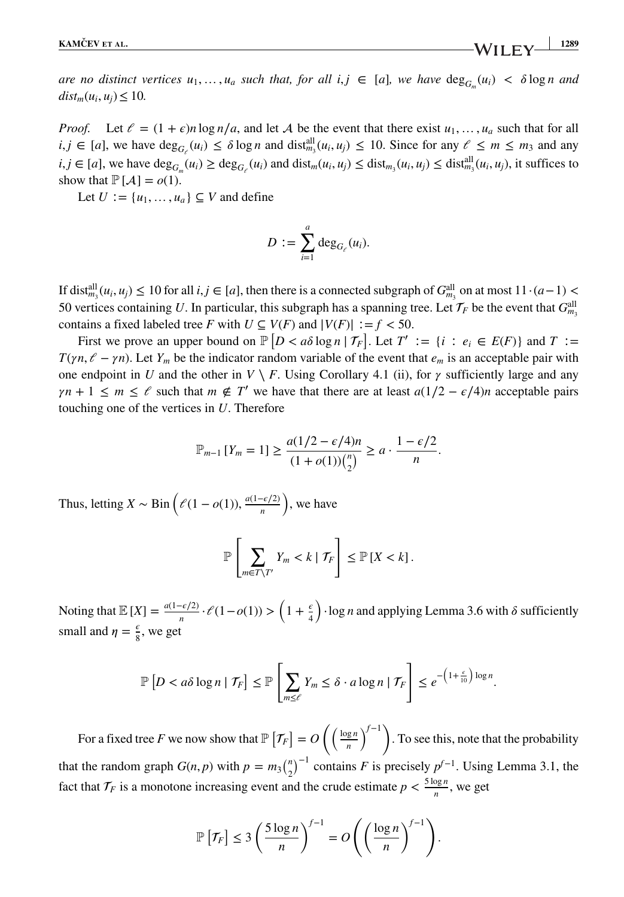*are no distinct vertices*  $u_1, \ldots, u_a$  *such that, for all i,j*  $\in$  [*a*]*, we have*  $\deg_G(u_i) < \delta \log n$  *and*  $dist_m(u_i, u_j) \leq 10$ .

*Proof.* Let  $\ell = (1 + \epsilon)n \log n/a$ , and let A be the event that there exist  $u_1, \ldots, u_a$  such that for all  $i, j \in [a]$ , we have  $\deg_{G_{\ell}}(u_i) \leq \delta \log n$  and  $\text{dist}_{m_3}^{\text{all}}(u_i, u_j) \leq 10$ . Since for any  $\ell \leq m \leq m_3$  and any  $i, j \in [a]$ , we have  $\deg_{G_m}(u_i) \ge \deg_{G_{\ell}}(u_i)$  and  $\text{dist}_m(u_i, u_j) \le \text{dist}_{m_3}(u_i, u_j) \le \text{dist}_{m_3}^{\text{all}}(u_i, u_j)$ , it suffices to show that  $\mathbb{P}[\mathcal{A}] = o(1)$ .

Let  $U := \{u_1, \ldots, u_n\} \subseteq V$  and define

$$
D := \sum_{i=1}^a \deg_{G_{\ell}}(u_i).
$$

If dist<sup>all</sup><sub>*m*<sub>3</sub></sub> $(u_i, u_j)$  ≤ 10 for all  $i, j$  ∈ [*a*], then there is a connected subgraph of  $G_{m_3}^{\text{all}}$  on at most 11⋅(*a*−1) < 50 vertices containing *U*. In particular, this subgraph has a spanning tree. Let  $\mathcal{T}_F$  be the event that  $G_{m_3}^{\text{all}}$ contains a fixed labeled tree *F* with  $U \subseteq V(F)$  and  $|V(F)| := f < 50$ .

First we prove an upper bound on  $\mathbb{P}\left[D < a\delta \log n \mid \mathcal{T}_F\right]$ . Let  $T' := \{i : e_i \in E(F)\}$  and  $T :=$ *T*( $\gamma n$ ,  $\ell - \gamma n$ ). Let *Y<sub>m</sub>* be the indicator random variable of the event that  $e_m$  is an acceptable pair with one endpoint in *U* and the other in  $V \setminus F$ . Using Corollary 4.1 (ii), for  $\gamma$  sufficiently large and any  $\gamma n + 1 \leq m \leq \ell$  such that  $m \notin T'$  we have that there are at least  $a(1/2 - \epsilon/4)n$  acceptable pairs touching one of the vertices in *U*. Therefore

$$
\mathbb{P}_{m-1}[Y_m = 1] \ge \frac{a(1/2 - \epsilon/4)n}{(1 + o(1))\binom{n}{2}} \ge a \cdot \frac{1 - \epsilon/2}{n}.
$$

Thus, letting *X* ~ Bin  $\left(\ell(1 - o(1)), \frac{a(1 - \epsilon/2)}{n}\right)$ ) , we have

$$
\mathbb{P}\left[\sum_{m\in T\setminus T'} Y_m < k \mid \mathcal{T}_F\right] \leq \mathbb{P}\left[X < k\right].
$$

Noting that  $\mathbb{E}[X] = \frac{a(1-\epsilon/2)}{n} \cdot \mathcal{E}(1-o(1)) > \left(1 + \frac{\epsilon}{4}\right)$  $\cdot$ log *n* and applying Lemma 3.6 with  $\delta$  sufficiently small and  $\eta = \frac{\epsilon}{8}$ , we get

$$
\mathbb{P}\left[D < a\delta\log n \mid \mathcal{T}_F\right] \leq \mathbb{P}\left[\sum_{m\leq\ell} Y_m \leq \delta \cdot a\log n \mid \mathcal{T}_F\right] \leq e^{-\left(1+\frac{\epsilon}{10}\right)\log n}.
$$

For a fixed tree *F* we now show that  $\mathbb{P}[\mathcal{T}_F] = O\left(\frac{\log n}{n}\right)$ *n* )*<sup>f</sup>*−<sup>1</sup> ) . To see this, note that the probability that the random graph  $G(n, p)$  with  $p = m_3 {n \choose 2}^{-1}$  contains *F* is precisely  $p^{f-1}$ . Using Lemma 3.1, the fact that  $\mathcal{T}_F$  is a monotone increasing event and the crude estimate  $p < \frac{5 \log n}{n}$ , we get

$$
\mathbb{P}\left[\mathcal{T}_F\right] \leq 3\left(\frac{5\log n}{n}\right)^{f-1} = O\left(\left(\frac{\log n}{n}\right)^{f-1}\right).
$$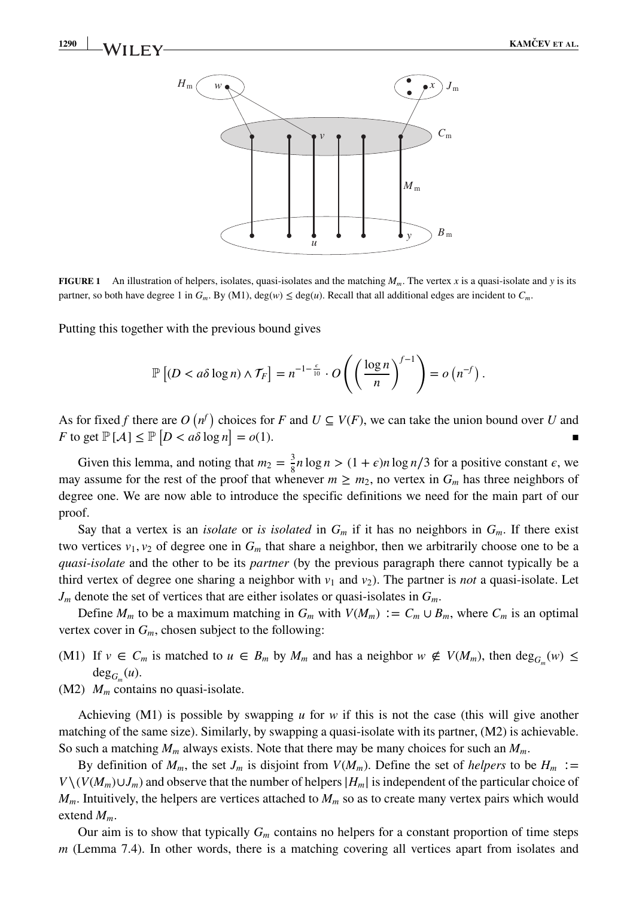

**FIGURE 1** An illustration of helpers, isolates, quasi-isolates and the matching *Mm*. The vertex *x* is a quasi-isolate and *y* is its partner, so both have degree 1 in  $G_m$ . By (M1), deg(*w*)  $\leq$  deg(*u*). Recall that all additional edges are incident to  $C_m$ .

Putting this together with the previous bound gives

$$
\mathbb{P}\left[(D < a\delta\log n) \wedge \mathcal{T}_F\right] = n^{-1-\frac{\epsilon}{10}} \cdot O\left(\left(\frac{\log n}{n}\right)^{f-1}\right) = o\left(n^{-f}\right).
$$

As for fixed *f* there are  $O(n^f)$  choices for *F* and  $U \subseteq V(F)$ , we can take the union bound over *U* and *F* to get  $\mathbb{P}[A] \le \mathbb{P}[D < a\delta \log n] = o(1)$ *.* 

Given this lemma, and noting that  $m_2 = \frac{3}{8}n \log n > (1 + \epsilon)n \log n/3$  for a positive constant  $\epsilon$ , we may assume for the rest of the proof that whenever  $m \ge m_2$ , no vertex in  $G_m$  has three neighbors of degree one. We are now able to introduce the specific definitions we need for the main part of our proof.

Say that a vertex is an *isolate* or *is isolated* in  $G_m$  if it has no neighbors in  $G_m$ . If there exist two vertices  $v_1, v_2$  of degree one in  $G_m$  that share a neighbor, then we arbitrarily choose one to be a *quasi-isolate* and the other to be its *partner* (by the previous paragraph there cannot typically be a third vertex of degree one sharing a neighbor with  $v_1$  and  $v_2$ ). The partner is *not* a quasi-isolate. Let *Jm* denote the set of vertices that are either isolates or quasi-isolates in *Gm*.

Define  $M_m$  to be a maximum matching in  $G_m$  with  $V(M_m) := C_m \cup B_m$ , where  $C_m$  is an optimal vertex cover in  $G_m$ , chosen subject to the following:

- (M1) If  $v \in C_m$  is matched to  $u \in B_m$  by  $M_m$  and has a neighbor  $w \notin V(M_m)$ , then  $\deg_{G_m}(w) \le$  $deg_G(u)$ .
- $(M2)$   $M_m$  contains no quasi-isolate.

Achieving (M1) is possible by swapping *u* for *w* if this is not the case (this will give another matching of the same size). Similarly, by swapping a quasi-isolate with its partner, (M2) is achievable. So such a matching  $M_m$  always exists. Note that there may be many choices for such an  $M_m$ .

By definition of  $M_m$ , the set  $J_m$  is disjoint from  $V(M_m)$ . Define the set of *helpers* to be  $H_m :=$  $V \setminus (V(M_m) \cup J_m)$  and observe that the number of helpers  $|H_m|$  is independent of the particular choice of  $M_m$ . Intuitively, the helpers are vertices attached to  $M_m$  so as to create many vertex pairs which would extend *Mm*.

Our aim is to show that typically  $G_m$  contains no helpers for a constant proportion of time steps *m* (Lemma 7.4). In other words, there is a matching covering all vertices apart from isolates and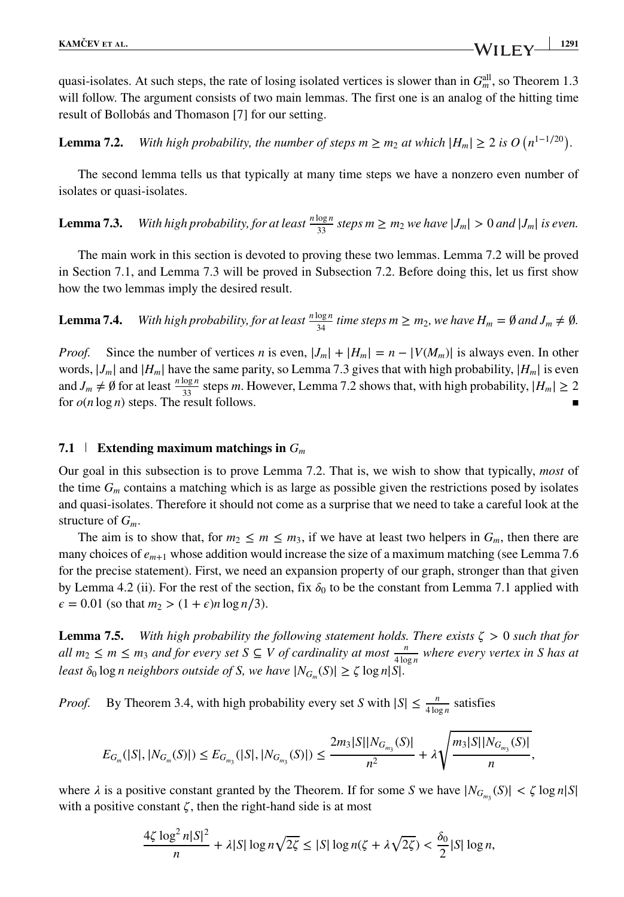**Lemma 7.2.** *With high probability, the number of steps*  $m \ge m_2$  *at which*  $|H_m| \ge 2$  *is*  $O(n^{1-1/20})$ *.* 

The second lemma tells us that typically at many time steps we have a nonzero even number of isolates or quasi-isolates.

**Lemma 7.3.** *With high probability, for at least*  $\frac{n \log n}{33}$  *steps*  $m \ge m_2$  *we have*  $|J_m| > 0$  *and*  $|J_m|$  *is even.* 

The main work in this section is devoted to proving these two lemmas. Lemma 7.2 will be proved in Section 7.1, and Lemma 7.3 will be proved in Subsection 7.2. Before doing this, let us first show how the two lemmas imply the desired result.

**Lemma 7.4.** *With high probability, for at least*  $\frac{n \log n}{34}$  *time steps*  $m \ge m_2$ *, we have*  $H_m = \emptyset$  *and*  $J_m \neq \emptyset$ *.* 

*Proof.* Since the number of vertices *n* is even,  $|J_m| + |H_m| = n - |V(M_m)|$  is always even. In other words,  $|J_m|$  and  $|H_m|$  have the same parity, so Lemma 7.3 gives that with high probability,  $|H_m|$  is even and  $J_m \neq \emptyset$  for at least  $\frac{n \log n}{33}$  steps *m*. However, Lemma 7.2 shows that, with high probability,  $|H_m| \geq 2$ for  $o(n \log n)$  steps. The result follows.

#### **7.1 Extending maximum matchings in** *Gm*

Our goal in this subsection is to prove Lemma 7.2. That is, we wish to show that typically, *most* of the time *Gm* contains a matching which is as large as possible given the restrictions posed by isolates and quasi-isolates. Therefore it should not come as a surprise that we need to take a careful look at the structure of *Gm*.

The aim is to show that, for  $m_2 \le m \le m_3$ , if we have at least two helpers in  $G_m$ , then there are many choices of  $e_{m+1}$  whose addition would increase the size of a maximum matching (see Lemma 7.6) for the precise statement). First, we need an expansion property of our graph, stronger than that given by Lemma 4.2 (ii). For the rest of the section, fix  $\delta_0$  to be the constant from Lemma 7.1 applied with  $\epsilon = 0.01$  (so that  $m_2 > (1 + \epsilon)n \log n/3$ ).

**Lemma 7.5.** *With high probability the following statement holds. There exists*  $\zeta > 0$  *such that for all*  $m_2$  ≤  $m$  ≤  $m_3$  *and for every set S* ⊆ *V of cardinality at most*  $\frac{n}{4 \log n}$  *where every vertex in S has at least*  $\delta_0$  log *n* neighbors outside of *S*, we have  $|N_{G_m}(S)| \geq \zeta \log n |S|$ *.* 

*Proof.* By Theorem 3.4, with high probability every set *S* with  $|S| \le \frac{n}{4 \log n}$  satisfies

$$
E_{G_m}(|S|,|N_{G_m}(S)|) \leq E_{G_{m_3}}(|S|,|N_{G_{m_3}}(S)|) \leq \frac{2m_3|S||N_{G_{m_3}}(S)|}{n^2} + \lambda \sqrt{\frac{m_3|S||N_{G_{m_3}}(S)|}{n}},
$$

where  $\lambda$  is a positive constant granted by the Theorem. If for some *S* we have  $|N_{G_{m_3}}(S)| < \zeta \log n |S|$ with a positive constant  $\zeta$ , then the right-hand side is at most

$$
\frac{4\zeta \log^2 n|S|^2}{n} + \lambda|S| \log n \sqrt{2\zeta} \le |S| \log n(\zeta + \lambda \sqrt{2\zeta}) < \frac{\delta_0}{2}|S| \log n,
$$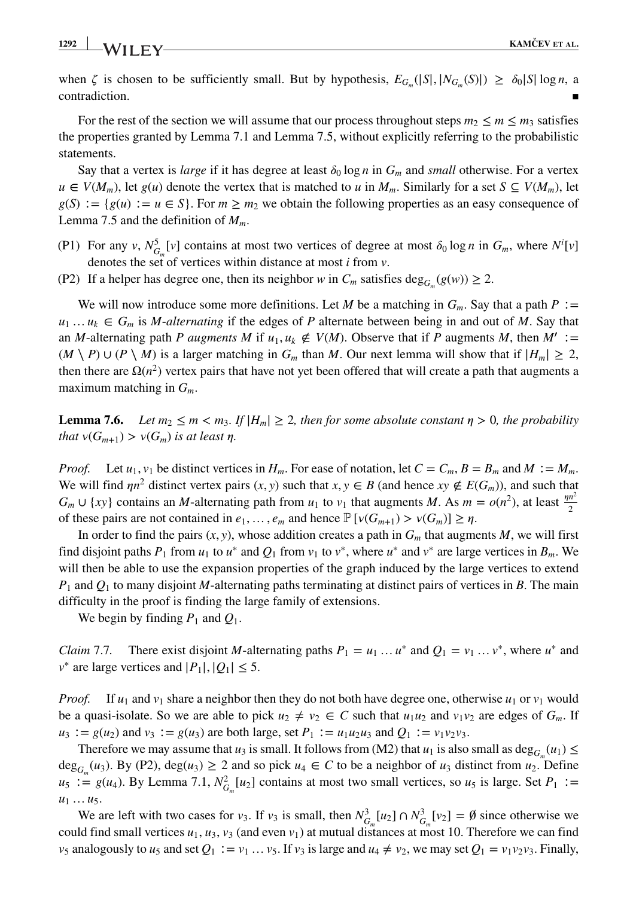**1292 KAMČEV ET AL.**<br>**KAMČEV ET AL.** 

when  $\zeta$  is chosen to be sufficiently small. But by hypothesis,  $E_{G_m}(|S|, |N_{G_m}(S)|) \ge \delta_0 |S| \log n$ , a contradiction. contradiction.

For the rest of the section we will assume that our process throughout steps  $m_2 \le m \le m_3$  satisfies the properties granted by Lemma 7.1 and Lemma 7.5, without explicitly referring to the probabilistic statements.

Say that a vertex is *large* if it has degree at least  $\delta_0 \log n$  in  $G_m$  and *small* otherwise. For a vertex *u* ∈ *V*(*M<sub>m</sub>*), let *g*(*u*) denote the vertex that is matched to *u* in *M<sub>m</sub>*. Similarly for a set *S* ⊆ *V*(*M<sub>m</sub>*), let  $g(S) := \{g(u) := u \in S\}$ . For  $m \ge m_2$  we obtain the following properties as an easy consequence of Lemma 7.5 and the definition of *Mm*.

- (P1) For any *v*,  $N_{G_m}^5[v]$  contains at most two vertices of degree at most  $\delta_0 \log n$  in  $G_m$ , where  $N^i[v]$ denotes the set of vertices within distance at most *i* from *v*.
- (P2) If a helper has degree one, then its neighbor *w* in  $C_m$  satisfies deg<sub>*G*</sub> (*g*(*w*))  $\geq$  2.

We will now introduce some more definitions. Let *M* be a matching in  $G_m$ . Say that a path  $P :=$  $u_1 \ldots u_k \in G_m$  is *M*-*alternating* if the edges of *P* alternate between being in and out of *M*. Say that an *M*-alternating path *P* augments *M* if  $u_1, u_k \notin V(M)$ . Observe that if *P* augments *M*, then  $M' :=$ (*M* ∖ *P*)∪(*P* ∖ *M*) is a larger matching in *G<sub>m</sub>* than *M*. Our next lemma will show that if  $|H_m| \ge 2$ , then there are  $\Omega(n^2)$  vertex pairs that have not yet been offered that will create a path that augments a maximum matching in *Gm*.

**Lemma 7.6.** *Let*  $m_2 \leq m < m_3$ . If  $|H_m| \geq 2$ , then for some absolute constant  $\eta > 0$ , the probability *that*  $v(G_{m+1}) > v(G_m)$  *is at least*  $\eta$ *.* 

*Proof.* Let  $u_1, v_1$  be distinct vertices in  $H_m$ . For ease of notation, let  $C = C_m$ ,  $B = B_m$  and  $M := M_m$ . We will find  $\eta n^2$  distinct vertex pairs  $(x, y)$  such that  $x, y \in B$  (and hence  $xy \notin E(G_m)$ ), and such that  $G_m \cup \{xy\}$  contains an *M*-alternating path from  $u_1$  to  $v_1$  that augments *M*. As  $m = o(n^2)$ , at least  $\frac{pn^2}{2}$ of these pairs are not contained in  $e_1, \ldots, e_m$  and hence  $\mathbb{P}[\nu(G_{m+1}) > \nu(G_m)] \geq \eta$ .

In order to find the pairs  $(x, y)$ , whose addition creates a path in  $G<sub>m</sub>$  that augments *M*, we will first find disjoint paths *P*<sub>1</sub> from *u*<sub>1</sub> to *u*<sup>\*</sup> and *Q*<sub>1</sub> from *v*<sub>1</sub> to *v*<sup>\*</sup>, where *u*<sup>\*</sup> and *v*<sup>\*</sup> are large vertices in *B<sub>m</sub>*. We will then be able to use the expansion properties of the graph induced by the large vertices to extend *P*<sup>1</sup> and *Q*<sup>1</sup> to many disjoint *M*-alternating paths terminating at distinct pairs of vertices in *B*. The main difficulty in the proof is finding the large family of extensions.

We begin by finding  $P_1$  and  $Q_1$ .

*Claim* 7.7. There exist disjoint *M*-alternating paths  $P_1 = u_1 ... u^*$  and  $Q_1 = v_1 ... v^*$ , where  $u^*$  and *v*<sup>∗</sup> are large vertices and  $|P_1|, |Q_1|$  ≤ 5.

*Proof.* If  $u_1$  and  $v_1$  share a neighbor then they do not both have degree one, otherwise  $u_1$  or  $v_1$  would be a quasi-isolate. So we are able to pick  $u_2 \neq v_2 \in C$  such that  $u_1u_2$  and  $v_1v_2$  are edges of  $G_m$ . If *u*<sub>3</sub> ∶ = *g*(*u*<sub>2</sub>) and *v*<sub>3</sub> ∶ = *g*(*u*<sub>3</sub>) are both large, set *P*<sub>1</sub> ∶ = *u*<sub>1</sub>*u*<sub>2</sub>*u*<sub>3</sub> and *Q*<sub>1</sub> ∶ = *v*<sub>1</sub>*v*<sub>2</sub>*v*<sub>3</sub>.

Therefore we may assume that *u*<sub>3</sub> is small. It follows from (M2) that *u*<sub>1</sub> is also small as deg<sub>*G*</sub> (*u*<sub>1</sub>)  $\leq$ deg<sub>G</sub> (*u*<sub>3</sub>). By (P2), deg(*u*<sub>3</sub>) ≥ 2 and so pick *u*<sub>4</sub> ∈ *C* to be a neighbor of *u*<sub>3</sub> distinct from *u*<sub>2</sub>. Define  $u_5 := g(u_4)$ . By Lemma 7.1,  $N_{G_m}^2[u_2]$  contains at most two small vertices, so  $u_5$  is large. Set  $P_1 :=$ *u*<sup>1</sup> …*u*5.

We are left with two cases for *v*<sub>3</sub>. If *v*<sub>3</sub> is small, then  $N_{G_m}^3[u_2] \cap N_{G_m}^3[v_2] = \emptyset$  since otherwise we could find small vertices  $u_1, u_3, v_3$  (and even  $v_1$ ) at mutual distances at most 10. Therefore we can find *v*<sub>5</sub> analogously to *u*<sub>5</sub> and set  $Q_1 := v_1 ... v_5$ . If  $v_3$  is large and  $u_4 \neq v_2$ , we may set  $Q_1 = v_1v_2v_3$ . Finally,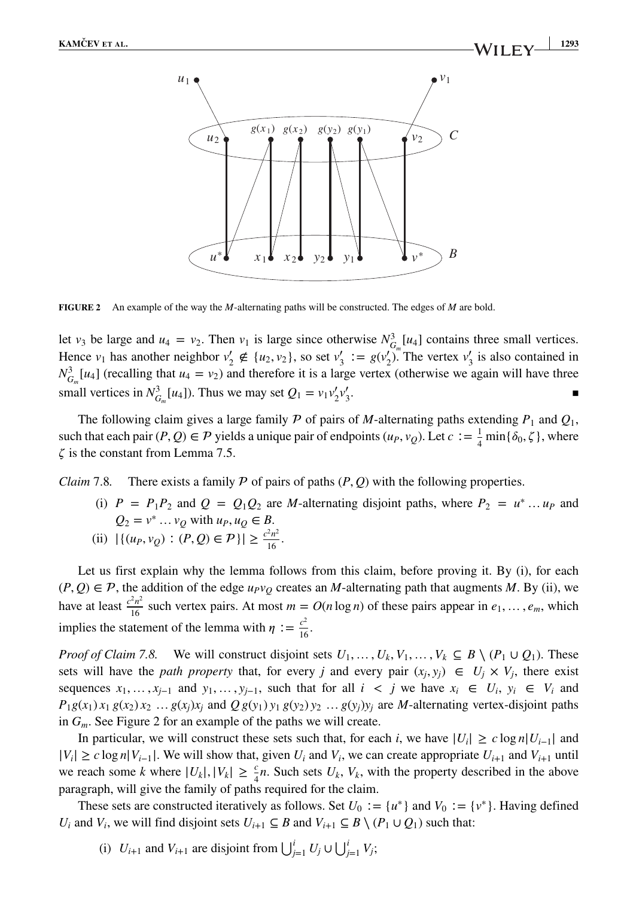

**FIGURE 2** An example of the way the *M*-alternating paths will be constructed. The edges of *M* are bold.

let *v*<sub>3</sub> be large and *u*<sub>4</sub> = *v*<sub>2</sub>. Then *v*<sub>1</sub> is large since otherwise  $N_{G_m}^3[u_4]$  contains three small vertices. Hence  $v_1$  has another neighbor  $v'_2 \notin \{u_2, v_2\}$ , so set  $v'_3 := g(v'_2)$ . The vertex  $v'_3$  is also contained in  $N_{G_m}^3[u_4]$  (recalling that  $u_4 = v_2$ ) and therefore it is a large vertex (otherwise we again will have three small vertices in  $N_{G_m}^3[u_4]$ ). Thus we may set  $Q_1 = v_1 v_2' v_2'$  $\frac{1}{3}$ .

The following claim gives a large family  $P$  of pairs of *M*-alternating paths extending  $P_1$  and  $Q_1$ , such that each pair  $(P, Q) \in \mathcal{P}$  yields a unique pair of endpoints  $(u_P, v_Q)$ . Let  $c := \frac{1}{4} \min{\{\delta_0, \zeta\}}$ , where  $\zeta$  is the constant from Lemma 7.5.

*Claim* 7.8. There exists a family  $P$  of pairs of paths  $(P, Q)$  with the following properties.

- (i)  $P = P_1 P_2$  and  $Q = Q_1 Q_2$  are *M*-alternating disjoint paths, where  $P_2 = u^* ... u_P$  and *Q*<sub>2</sub> = *v*<sup>∗</sup> … *v*<sub>*Q*</sub> with *u<sub>P</sub>*, *u*<sub>*Q*</sub> ∈ *B*.
- (ii)  $|\{(u_P, v_Q) : (P, Q) \in \mathcal{P}\}| \geq \frac{c^2 n^2}{16}.$

Let us first explain why the lemma follows from this claim, before proving it. By (i), for each  $(P, Q) \in \mathcal{P}$ , the addition of the edge  $u_Pv_Q$  creates an *M*-alternating path that augments *M*. By (ii), we have at least  $\frac{c^2 n^2}{16}$  such vertex pairs. At most  $m = O(n \log n)$  of these pairs appear in  $e_1, \ldots, e_m$ , which implies the statement of the lemma with  $\eta := \frac{c^2}{16}$ .

*Proof of Claim 7.8.* We will construct disjoint sets  $U_1, \ldots, U_k, V_1, \ldots, V_k \subseteq B \setminus (P_1 \cup Q_1)$ . These sets will have the *path property* that, for every *j* and every pair  $(x_i, y_i) \in U_i \times V_i$ , there exist sequences  $x_1, \ldots, x_{j-1}$  and  $y_1, \ldots, y_{j-1}$ , such that for all  $i < j$  we have  $x_i \in U_i$ ,  $y_i \in V_i$  and  $P_1g(x_1)x_1 g(x_2)x_2...g(x_i)x_i$  and  $Qg(y_1)y_1 g(y_2)y_2...g(y_i)y_i$  are *M*-alternating vertex-disjoint paths in *Gm*. See Figure 2 for an example of the paths we will create.

In particular, we will construct these sets such that, for each *i*, we have  $|U_i| \ge c \log n |U_{i-1}|$  and  $|V_i|$  ≥ *c* log *n*| $V_{i-1}$ ]. We will show that, given  $U_i$  and  $V_i$ , we can create appropriate  $U_{i+1}$  and  $V_{i+1}$  until we reach some *k* where  $|U_k|, |V_k| \ge \frac{c}{4}n$ . Such sets  $U_k, V_k$ , with the property described in the above paragraph, will give the family of paths required for the claim.

These sets are constructed iteratively as follows. Set  $U_0 := \{u^*\}\$  and  $V_0 := \{v^*\}$ . Having defined *U<sub>i</sub>* and *V<sub>i</sub>*, we will find disjoint sets  $U_{i+1} \subseteq B$  and  $V_{i+1} \subseteq B \setminus (P_1 \cup Q_1)$  such that:

(i)  $U_{i+1}$  and  $V_{i+1}$  are disjoint from  $\bigcup_{j=1}^{i} U_j \cup \bigcup_{j=1}^{i} V_j$ ;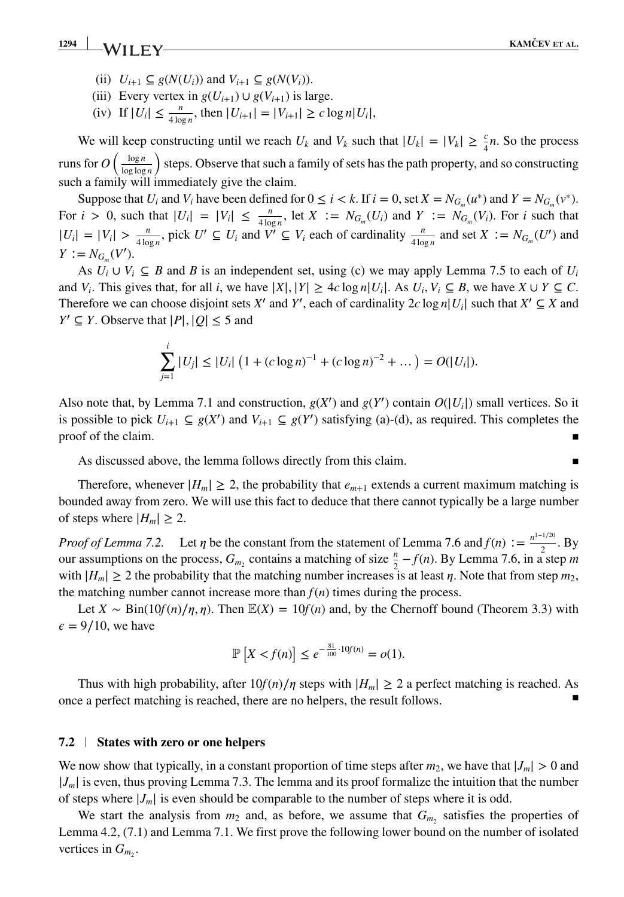**1294 KAMČEV ET AL.**<br>**EXAMČEV ET AL.** 

- (ii)  $U_{i+1} \subseteq g(N(U_i))$  and  $V_{i+1} \subseteq g(N(V_i))$ .
- (iii) Every vertex in  $g(U_{i+1}) \cup g(V_{i+1})$  is large.
- $(iv)$  If  $|U_i| \le \frac{n}{4 \log n}$ , then  $|U_{i+1}| = |V_{i+1}| \ge c \log n |U_i|$ ,

We will keep constructing until we reach  $U_k$  and  $V_k$  such that  $|U_k| = |V_k| \ge \frac{c}{4}n$ . So the process runs for  $O\left(\frac{\log n}{\log \log n}\right)$ log log *n* ) steps. Observe that such a family of sets has the path property, and so constructing such a family will immediately give the claim.

Suppose that *U<sub>i</sub>* and *V<sub>i</sub>* have been defined for  $0 \le i \le k$ . If  $i = 0$ , set  $X = N_{G_m}(u^*)$  and  $Y = N_{G_m}(v^*)$ . For  $i > 0$ , such that  $|U_i| = |V_i| \le \frac{n}{4 \log n}$ , let  $X := N_{G_m}(U_i)$  and  $Y := N_{G_m}(V_i)$ . For *i* such that  $|U_i| = |V_i| > \frac{n}{4 \log n}$ , pick  $U' \subseteq U_i$  and  $V' \subseteq V_i$  each of cardinality  $\frac{n}{4 \log n}$  and set  $X := N_{G_m}(U')$  and  $Y := N_{G_m}(V')$ .

As  $U_i \cup V_i \subseteq B$  and *B* is an independent set, using (c) we may apply Lemma 7.5 to each of  $U_i$ and *V<sub>i</sub>*. This gives that, for all *i*, we have  $|X|, |Y| \ge 4c \log n |U_i|$ . As  $U_i, V_i \subseteq B$ , we have  $X \cup Y \subseteq C$ . Therefore we can choose disjoint sets *X'* and *Y'*, each of cardinality  $2c \log n |U_i|$  such that  $X' \subseteq X$  and  $Y' \subseteq Y$  and  $Y' \subseteq Y$ *Y*<sup> $\prime$ </sup> ⊆ *Y*. Observe that  $|P|$ ,  $|Q|$  ≤ 5 and

$$
\sum_{j=1}^i |U_j| \leq |U_i| \left(1 + (c \log n)^{-1} + (c \log n)^{-2} + \dots \right) = O(|U_i|).
$$

Also note that, by Lemma 7.1 and construction,  $g(X')$  and  $g(Y')$  contain  $O(|U_i|)$  small vertices. So it is possible to pick  $U_{i+1} \subseteq g(X')$  and  $V_{i+1} \subseteq g(Y')$  satisfying (a)-(d), as required. This completes the proof of the claim.

As discussed above, the lemma follows directly from this claim.  $\blacksquare$ 

Therefore, whenever  $|H_m| \geq 2$ , the probability that  $e_{m+1}$  extends a current maximum matching is bounded away from zero. We will use this fact to deduce that there cannot typically be a large number of steps where  $|H_m| \geq 2$ .

*Proof of Lemma 7.2.* Let  $\eta$  be the constant from the statement of Lemma 7.6 and  $f(n) := \frac{n^{1-1/20}}{2}$ . By our assumptions on the process,  $G_{m_2}$  contains a matching of size  $\frac{n}{2} - f(n)$ . By Lemma 7.6, in a step *m* with  $|H_m| \geq 2$  the probability that the matching number increases is at least  $\eta$ . Note that from step  $m_2$ , the matching number cannot increase more than  $f(n)$  times during the process.

Let *X* ∼ Bin(10*f*(*n*)/*n*,*n*). Then  $E(X) = 10f(n)$  and, by the Chernoff bound (Theorem 3.3) with  $\epsilon = 9/10$ , we have

$$
\mathbb{P}\left[X < f(n)\right] \le e^{-\frac{81}{100} \cdot 10f(n)} = o(1).
$$

Thus with high probability, after  $10f(n)/\eta$  steps with  $|H_m| \geq 2$  a perfect matching is reached. As once a perfect matching is reached, there are no helpers, the result follows.

# **7.2 States with zero or one helpers**

We now show that typically, in a constant proportion of time steps after  $m_2$ , we have that  $|J_m| > 0$  and  $|J_m|$  is even, thus proving Lemma 7.3. The lemma and its proof formalize the intuition that the number of steps where  $|J_m|$  is even should be comparable to the number of steps where it is odd.

We start the analysis from  $m_2$  and, as before, we assume that  $G_m$ , satisfies the properties of Lemma 4.2, (7.1) and Lemma 7.1. We first prove the following lower bound on the number of isolated vertices in  $G_m$ .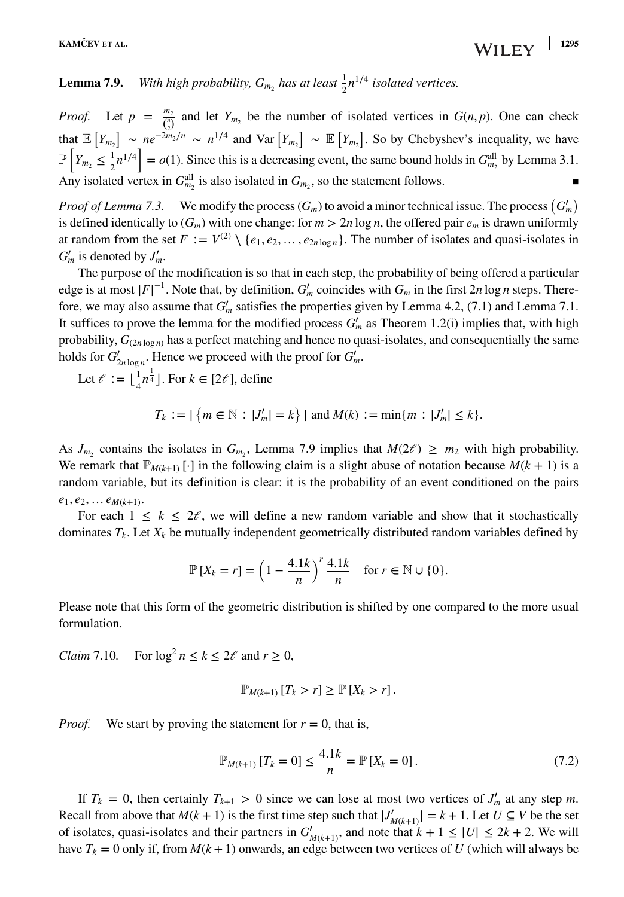# **Lemma 7.9.** *With high probability,*  $G_{m_2}$  *has at least*  $\frac{1}{2}n^{1/4}$  *isolated vertices.*

*Proof.* Let  $p = \frac{m_2}{\binom{n_1}{2}}$  and let  $Y_{m_2}$  be the number of isolated vertices in  $G(n, p)$ . One can check that  $\mathbb{E}[Y_{m_2}] \sim ne^{-2m_2/n} \sim n^{1/4}$  and Var  $[Y_{m_2}] \sim \mathbb{E}[Y_{m_2}]$ . So by Chebyshev's inequality, we have  $\mathbb{P}\left[Y_{m_2} \leq \frac{1}{2}n^{1/4}\right] = o(1)$ . Since this is a decreasing event, the same bound holds in  $G_{m_2}^{\text{all}}$  by Lemma 3.1. Any isolated vertex in  $G_{m_2}^{\text{all}}$  is also isolated in  $G_{m_2}$ , so the statement follows.

*Proof of Lemma 7.3.* We modify the process  $(G_m)$  to avoid a minor technical issue. The process  $(G'_m)$ is defined identically to  $(G_m)$  with one change: for  $m > 2n \log n$ , the offered pair  $e_m$  is drawn uniformly at random from the set  $F := V^{(2)} \setminus \{e_1, e_2, \dots, e_{2n \log n}\}\.$  The number of isolates and quasi-isolates in  $G'_m$  is denoted by  $J'_m$ .

The purpose of the modification is so that in each step, the probability of being offered a particular edge is at most  $|F|^{-1}$ . Note that, by definition,  $G'_m$  coincides with  $G_m$  in the first 2*n* log *n* steps. Therefore, we may also assume that  $G'_m$  satisfies the properties given by Lemma 4.2, (7.1) and Lemma 7.1. It suffices to prove the lemma for the modified process  $G'_{m}$  as Theorem 1.2(i) implies that, with high probability,  $G_{(2n \log n)}$  has a perfect matching and hence no quasi-isolates, and consequentially the same holds for  $G'_{2n \log n}$ . Hence we proceed with the proof for  $G'_m$ .

Let  $\ell := \lfloor \frac{1}{4} n^{\frac{1}{4}} \rfloor$ . For  $k \in [2\ell]$ , define

$$
T_k := |\{m \in \mathbb{N} : |J'_m| = k\}| \text{ and } M(k) := \min\{m : |J'_m| \le k\}.
$$

As  $J_{m_2}$  contains the isolates in  $G_{m_2}$ , Lemma 7.9 implies that  $M(2\ell) \geq m_2$  with high probability. We remark that  $\mathbb{P}_{M(k+1)}[\cdot]$  in the following claim is a slight abuse of notation because  $M(k+1)$  is a random variable, but its definition is clear: it is the probability of an event conditioned on the pairs  $e_1, e_2, \ldots e_{M(k+1)}$ .

For each  $1 \leq k \leq 2\ell$ , we will define a new random variable and show that it stochastically dominates  $T_k$ . Let  $X_k$  be mutually independent geometrically distributed random variables defined by

$$
\mathbb{P}\left[X_k=r\right] = \left(1 - \frac{4.1k}{n}\right)^r \frac{4.1k}{n} \quad \text{for } r \in \mathbb{N} \cup \{0\}.
$$

Please note that this form of the geometric distribution is shifted by one compared to the more usual formulation.

*Claim* 7.10*.* For  $\log^2 n \le k \le 2\ell$  and  $r \ge 0$ ,

$$
\mathbb{P}_{M(k+1)}[T_k > r] \geq \mathbb{P}[X_k > r].
$$

*Proof.* We start by proving the statement for  $r = 0$ , that is,

$$
\mathbb{P}_{M(k+1)}\left[T_k = 0\right] \le \frac{4.1k}{n} = \mathbb{P}\left[X_k = 0\right].\tag{7.2}
$$

If  $T_k = 0$ , then certainly  $T_{k+1} > 0$  since we can lose at most two vertices of  $J'_m$  at any step *m*. Recall from above that  $M(k + 1)$  is the first time step such that  $|J'_{M(k+1)}| = k + 1$ . Let  $U \subseteq V$  be the set of isolates, quasi-isolates and their partners in  $G'_{M(k+1)}$ , and note that  $k + 1 \leq |U| \leq 2k + 2$ . We will have  $T_k = 0$  only if, from  $M(k + 1)$  onwards, an edge between two vertices of *U* (which will always be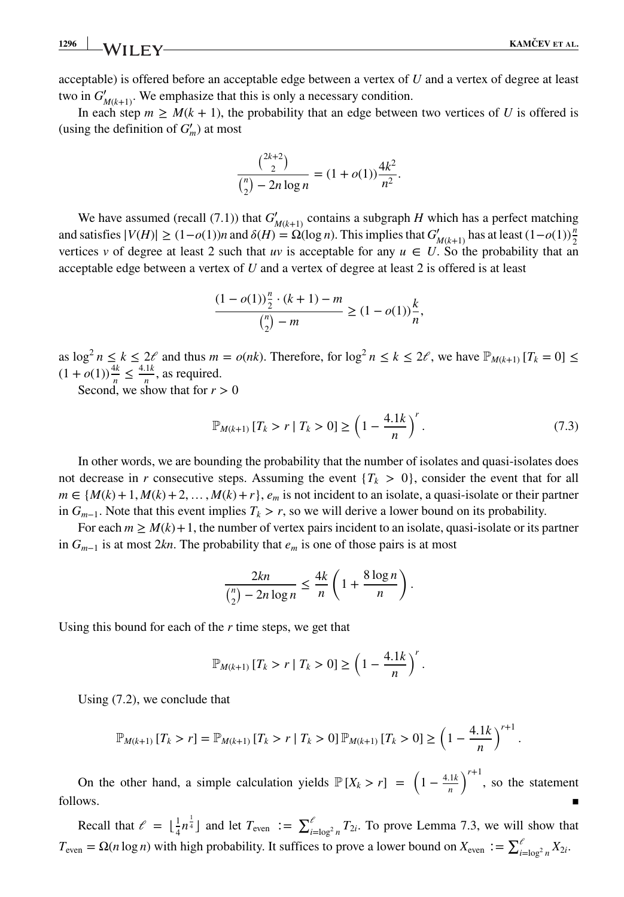**1296 WII FY KAMČEV ET AL.** 

*.*

acceptable) is offered before an acceptable edge between a vertex of *U* and a vertex of degree at least two in  $G'_{M(k+1)}$ . We emphasize that this is only a necessary condition.

In each step  $m \geq M(k + 1)$ , the probability that an edge between two vertices of *U* is offered is (using the definition of  $G'_m$ ) at most

$$
\frac{\binom{2k+2}{2}}{\binom{n}{2} - 2n \log n} = (1 + o(1)) \frac{4k^2}{n^2}.
$$

We have assumed (recall (7.1)) that  $G'_{M(k+1)}$  contains a subgraph *H* which has a perfect matching and satisfies  $|V(H)| \ge (1 - o(1))n$  and  $\delta(H) = \Omega(\log n)$ . This implies that  $G'_{M(k+1)}$  has at least  $(1 - o(1))\frac{n}{2}$ vertices *v* of degree at least 2 such that *uv* is acceptable for any  $u \in U$ . So the probability that an acceptable edge between a vertex of *U* and a vertex of degree at least 2 is offered is at least

$$
\frac{(1 - o(1))\frac{n}{2} \cdot (k + 1) - m}{\binom{n}{2} - m} \ge (1 - o(1))\frac{k}{n},
$$

as  $\log^2 n \le k \le 2\ell$  and thus  $m = o(nk)$ . Therefore, for  $\log^2 n \le k \le 2\ell$ , we have  $\mathbb{P}_{M(k+1)}[T_k = 0] \le k \le 2\ell$  $(1 + o(1)) \frac{4k}{n} \leq \frac{4.1k}{n}$ , as required.

Second, we show that for  $r > 0$ 

$$
\mathbb{P}_{M(k+1)}[T_k > r | T_k > 0] \ge \left(1 - \frac{4.1k}{n}\right)^r. \tag{7.3}
$$

In other words, we are bounding the probability that the number of isolates and quasi-isolates does not decrease in *r* consecutive steps. Assuming the event  ${T<sub>k</sub> > 0}$ , consider the event that for all  $m \in \{M(k) + 1, M(k) + 2, \ldots, M(k) + r\}$ ,  $e_m$  is not incident to an isolate, a quasi-isolate or their partner in  $G_{m-1}$ . Note that this event implies  $T_k > r$ , so we will derive a lower bound on its probability.

For each  $m \ge M(k) + 1$ , the number of vertex pairs incident to an isolate, quasi-isolate or its partner in *Gm*−<sup>1</sup> is at most 2*kn*. The probability that *em* is one of those pairs is at most

$$
\frac{2kn}{\binom{n}{2} - 2n\log n} \le \frac{4k}{n} \left( 1 + \frac{8\log n}{n} \right).
$$

Using this bound for each of the *r* time steps, we get that

$$
\mathbb{P}_{M(k+1)} [T_k > r | T_k > 0] \ge \left(1 - \frac{4.1k}{n}\right)^r.
$$

Using (7.2), we conclude that

$$
\mathbb{P}_{M(k+1)}[T_k > r] = \mathbb{P}_{M(k+1)}[T_k > r | T_k > 0] \mathbb{P}_{M(k+1)}[T_k > 0] \ge \left(1 - \frac{4.1k}{n}\right)^{r+1}
$$

On the other hand, a simple calculation yields  $\mathbb{P}[X_k > r] = \left(1 - \frac{4.1k}{n}\right)$  $\int^{r+1}$ , so the statement follows.

Recall that  $\ell = \lfloor \frac{1}{4} n^{\frac{1}{4}} \rfloor$  and let  $T_{\text{even}} := \sum_{i=\log^2 n}^{\ell} T_{2i}$ . To prove Lemma 7.3, we will show that  $T_{\text{even}} = \Omega(n \log n)$  with high probability. It suffices to prove a lower bound on  $X_{\text{even}} := \sum_{i=\log^2 n}^{\ell} X_{2i}$ .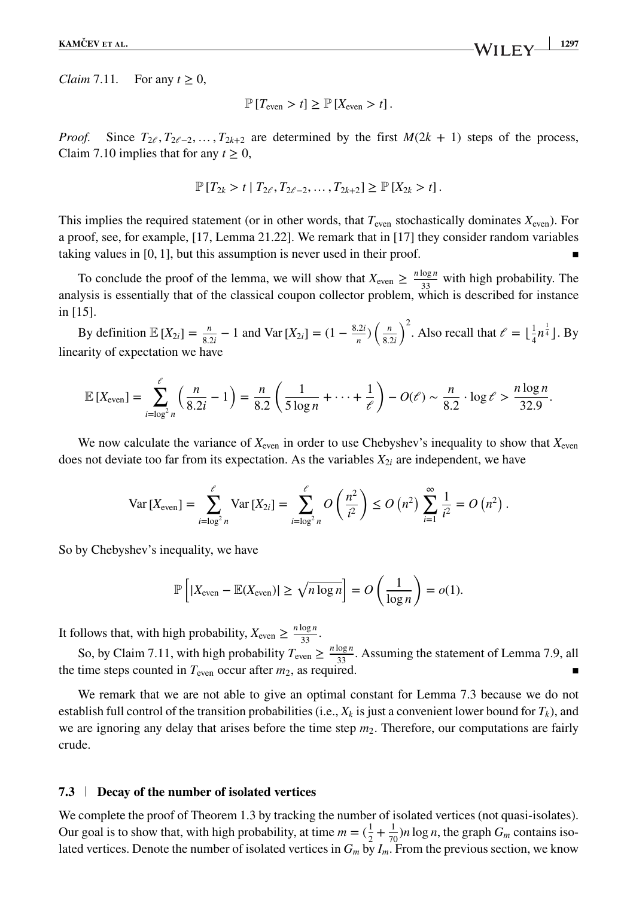**KAMČEV** ET AL. **1297** 

*Claim* 7.11*.* For any  $t > 0$ ,

$$
\mathbb{P}[T_{\text{even}} > t] \geq \mathbb{P}[X_{\text{even}} > t].
$$

*Proof.* Since  $T_{2\ell}, T_{2\ell-2}, \ldots, T_{2k+2}$  are determined by the first  $M(2k + 1)$  steps of the process, Claim 7.10 implies that for any  $t \geq 0$ ,

$$
\mathbb{P}[T_{2k} > t | T_{2\ell}, T_{2\ell-2}, \ldots, T_{2k+2}] \geq \mathbb{P}[X_{2k} > t].
$$

This implies the required statement (or in other words, that  $T_{\text{even}}$  stochastically dominates  $X_{\text{even}}$ ). For a proof, see, for example, [17, Lemma 21.22]. We remark that in [17] they consider random variables taking values in  $[0, 1]$ , but this assumption is never used in their proof.

To conclude the proof of the lemma, we will show that  $X_{\text{even}} \ge \frac{n \log n}{33}$  with high probability. The analysis is essentially that of the classical coupon collector problem, which is described for instance in [15].

By definition  $\mathbb{E}[X_{2i}] = \frac{n}{8 \cdot 2i} - 1$  and  $\text{Var}[X_{2i}] = (1 - \frac{8 \cdot 2i}{n}) \left( \frac{n}{8 \cdot 2i} \right)$ 8*.*2*i*  $\int^2$ . Also recall that  $\ell = \lfloor \frac{1}{4} n^{\frac{1}{4}} \rfloor$ . By linearity of expectation we have

$$
\mathbb{E}\left[X_{\text{even}}\right] = \sum_{i=\log^2 n}^{\ell} \left(\frac{n}{8.2i} - 1\right) = \frac{n}{8.2} \left(\frac{1}{5\log n} + \dots + \frac{1}{\ell}\right) - O(\ell) \sim \frac{n}{8.2} \cdot \log \ell > \frac{n \log n}{32.9}.
$$

We now calculate the variance of  $X_{\text{even}}$  in order to use Chebyshev's inequality to show that  $X_{\text{even}}$ does not deviate too far from its expectation. As the variables  $X_{2i}$  are independent, we have

$$
\text{Var}\left[X_{\text{even}}\right] = \sum_{i=\log^2 n}^{\ell} \text{Var}\left[X_{2i}\right] = \sum_{i=\log^2 n}^{\ell} O\left(\frac{n^2}{i^2}\right) \le O\left(n^2\right) \sum_{i=1}^{\infty} \frac{1}{i^2} = O\left(n^2\right).
$$

So by Chebyshev's inequality, we have

$$
\mathbb{P}\left[|X_{\text{even}} - \mathbb{E}(X_{\text{even}})| \ge \sqrt{n \log n}\right] = O\left(\frac{1}{\log n}\right) = o(1).
$$

It follows that, with high probability,  $X_{\text{even}} \ge \frac{n \log n}{33}$ .

So, by Claim 7.11, with high probability  $T_{even} \ge \frac{n \log n}{33}$ . Assuming the statement of Lemma 7.9, all the time steps counted in  $T_{\text{even}}$  occur after  $m_2$ , as required.

We remark that we are not able to give an optimal constant for Lemma 7.3 because we do not establish full control of the transition probabilities (i.e.,  $X_k$  is just a convenient lower bound for  $T_k$ ), and we are ignoring any delay that arises before the time step  $m_2$ . Therefore, our computations are fairly crude.

#### **7.3 Decay of the number of isolated vertices**

We complete the proof of Theorem 1.3 by tracking the number of isolated vertices (not quasi-isolates). Our goal is to show that, with high probability, at time  $m = (\frac{1}{2} + \frac{1}{70})n \log n$ , the graph  $G_m$  contains isolated vertices. Denote the number of isolated vertices in  $G_m$  by  $I_m$ . From the previous section, we know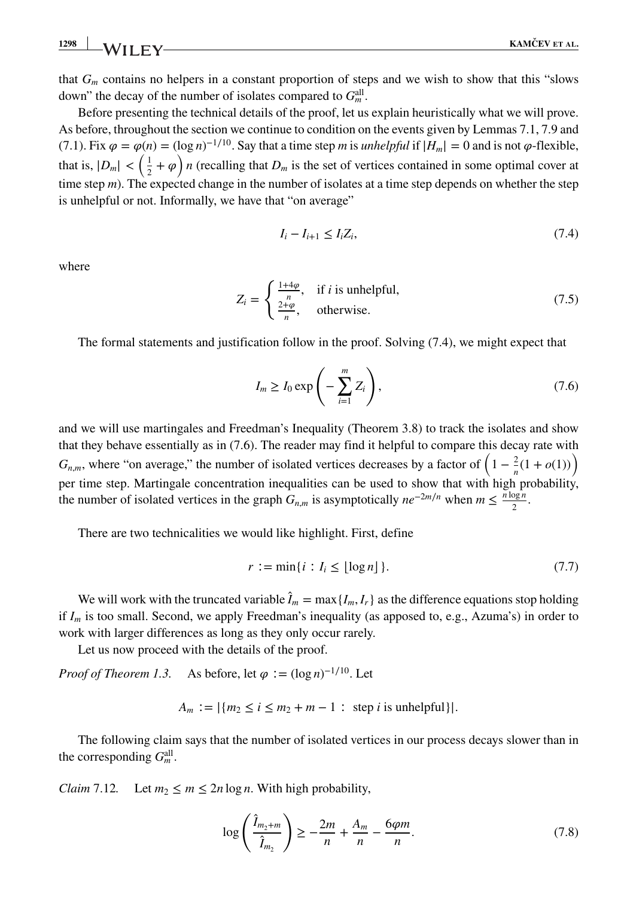**1298 KAMČEV ET AL. KAMČEV ET AL.** 

that *Gm* contains no helpers in a constant proportion of steps and we wish to show that this "slows down" the decay of the number of isolates compared to  $G_m^{\text{all}}$ .

Before presenting the technical details of the proof, let us explain heuristically what we will prove. As before, throughout the section we continue to condition on the events given by Lemmas 7.1, 7.9 and (7.1). Fix  $\varphi = \varphi(n) = (\log n)^{-1/10}$ . Say that a time step *m* is *unhelpful* if  $|H_m| = 0$  and is not  $\varphi$ -flexible, that is,  $|D_m| < \left(\frac{1}{2} + \varphi\right)n$  (recalling that  $D_m$  is the set of vertices contained in some optimal cover at time step *m*). The expected change in the number of isolates at a time step depends on whether the step is unhelpful or not. Informally, we have that "on average"

$$
I_i - I_{i+1} \leq I_i Z_i,\tag{7.4}
$$

where

$$
Z_i = \begin{cases} \frac{1+4\varphi}{n}, & \text{if } i \text{ is unhelpful,} \\ \frac{2+\varphi}{n}, & \text{otherwise.} \end{cases}
$$
 (7.5)

The formal statements and justification follow in the proof. Solving (7.4), we might expect that

$$
I_m \ge I_0 \exp\left(-\sum_{i=1}^m Z_i\right),\tag{7.6}
$$

and we will use martingales and Freedman's Inequality (Theorem 3.8) to track the isolates and show that they behave essentially as in (7.6). The reader may find it helpful to compare this decay rate with *G<sub>n</sub>*,*m*, where "on average," the number of isolated vertices decreases by a factor of  $\left(1 - \frac{2}{n}(1 + o(1))\right)$ per time step. Martingale concentration inequalities can be used to show that with high probability, the number of isolated vertices in the graph  $G_{n,m}$  is asymptotically  $ne^{-2m/n}$  when  $m \le \frac{n \log n}{2}$ .

There are two technicalities we would like highlight. First, define

$$
r := \min\{i : I_i \le \lfloor \log n \rfloor\}.
$$
\n
$$
(7.7)
$$

We will work with the truncated variable  $\hat{I}_m = \max\{I_m, I_r\}$  as the difference equations stop holding if *Im* is too small. Second, we apply Freedman's inequality (as apposed to, e.g., Azuma's) in order to work with larger differences as long as they only occur rarely.

Let us now proceed with the details of the proof.

*Proof of Theorem 1.3.* As before, let  $\varphi := (\log n)^{-1/10}$ . Let

$$
A_m := |\{m_2 \le i \le m_2 + m - 1 : \text{ step } i \text{ is unhelpful}\}|.
$$

The following claim says that the number of isolated vertices in our process decays slower than in the corresponding  $G_m^{\text{all}}$ .

*Claim* 7.12. Let  $m_2 < m < 2n \log n$ . With high probability,

$$
\log\left(\frac{\hat{I}_{m_2+m}}{\hat{I}_{m_2}}\right) \ge -\frac{2m}{n} + \frac{A_m}{n} - \frac{6\varphi m}{n}.
$$
 (7.8)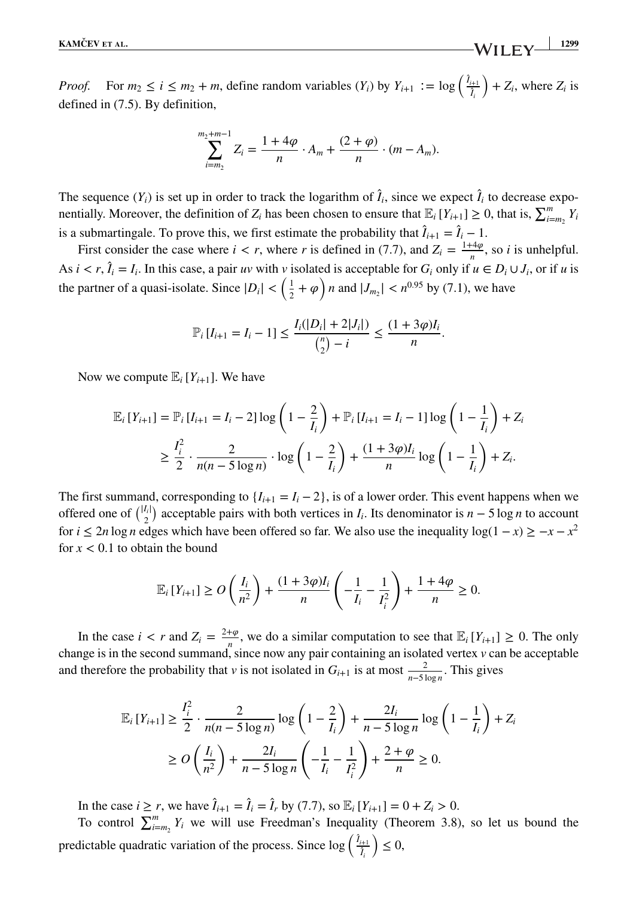*Proof.* For  $m_2 \le i \le m_2 + m$ , define random variables  $(Y_i)$  by  $Y_{i+1} := \log \left( \frac{\hat{I}_{i+1}}{\hat{I}_i} \right)$  $+ Z_i$ , where  $Z_i$  is defined in (7.5). By definition,

$$
\sum_{i=m_2}^{m_2+m-1} Z_i = \frac{1+4\varphi}{n} \cdot A_m + \frac{(2+\varphi)}{n} \cdot (m-A_m).
$$

The sequence  $(Y_i)$  is set up in order to track the logarithm of  $\hat{I}_i$ , since we expect  $\hat{I}_i$  to decrease exponentially. Moreover, the definition of *Z<sub>i</sub>* has been chosen to ensure that  $\mathbb{E}_i[Y_{i+1}] \geq 0$ , that is,  $\sum_{i=m_2}^{m} Y_i$ is a submartingale. To prove this, we first estimate the probability that  $\hat{I}_{i+1} = \hat{I}_i - 1$ .

First consider the case where  $i < r$ , where *r* is defined in (7.7), and  $Z_i = \frac{1+4\varphi}{n}$ , so *i* is unhelpful. As  $i < r$ ,  $\hat{l}_i = I_i$ . In this case, a pair *uv* with *v* isolated is acceptable for  $G_i$  only if  $u \in D_i \cup J_i$ , or if *u* is the partner of a quasi-isolate. Since  $|D_i| < (\frac{1}{2} + \varphi) n$  and  $|J_{m_2}| < n^{0.95}$  by (7.1), we have

$$
\mathbb{P}_i[I_{i+1} = I_i - 1] \le \frac{I_i(|D_i| + 2|J_i|)}{{n \choose 2} - i} \le \frac{(1 + 3\varphi)I_i}{n}.
$$

Now we compute  $\mathbb{E}_i[Y_{i+1}]$ . We have

$$
\mathbb{E}_{i}[Y_{i+1}] = \mathbb{P}_{i}[I_{i+1} = I_{i} - 2] \log \left(1 - \frac{2}{I_{i}}\right) + \mathbb{P}_{i}[I_{i+1} = I_{i} - 1] \log \left(1 - \frac{1}{I_{i}}\right) + Z_{i}
$$
\n
$$
\geq \frac{I_{i}^{2}}{2} \cdot \frac{2}{n(n - 5 \log n)} \cdot \log \left(1 - \frac{2}{I_{i}}\right) + \frac{(1 + 3\varphi)I_{i}}{n} \log \left(1 - \frac{1}{I_{i}}\right) + Z_{i}.
$$

The first summand, corresponding to  $\{I_{i+1} = I_i - 2\}$ , is of a lower order. This event happens when we offered one of  $\binom{|I_i|}{2}$  acceptable pairs with both vertices in *I<sub>i</sub>*. Its denominator is *n* − 5 log *n* to account for *i*  $\leq$  2*n* log *n* edges which have been offered so far. We also use the inequality log(1 − *x*)  $\geq$  −*x* − *x*<sup>2</sup> for  $x < 0.1$  to obtain the bound

$$
\mathbb{E}_i\left[Y_{i+1}\right] \ge O\left(\frac{I_i}{n^2}\right) + \frac{(1+3\varphi)I_i}{n}\left(-\frac{1}{I_i} - \frac{1}{I_i^2}\right) + \frac{1+4\varphi}{n} \ge 0.
$$

In the case  $i < r$  and  $Z_i = \frac{2+\varphi}{n}$ , we do a similar computation to see that  $\mathbb{E}_i[Y_{i+1}] \geq 0$ . The only change is in the second summand, since now any pair containing an isolated vertex *v* can be acceptable and therefore the probability that *v* is not isolated in  $G_{i+1}$  is at most  $\frac{2}{n-5 \log n}$ . This gives

$$
\mathbb{E}_{i}[Y_{i+1}] \ge \frac{I_{i}^{2}}{2} \cdot \frac{2}{n(n-5\log n)} \log\left(1-\frac{2}{I_{i}}\right) + \frac{2I_{i}}{n-5\log n} \log\left(1-\frac{1}{I_{i}}\right) + Z_{i}
$$
  
\n
$$
\ge O\left(\frac{I_{i}}{n^{2}}\right) + \frac{2I_{i}}{n-5\log n}\left(-\frac{1}{I_{i}} - \frac{1}{I_{i}^{2}}\right) + \frac{2+\varphi}{n} \ge 0.
$$

In the case  $i \ge r$ , we have  $\hat{\mathbf{l}}_{i+1} = \hat{\mathbf{l}}_i = \hat{\mathbf{l}}_r$  by (7.7), so  $\mathbb{E}_i[Y_{i+1}] = 0 + Z_i > 0$ .

To control  $\sum_{i=m_2}^{m} Y_i$  we will use Freedman's Inequality (Theorem 3.8), so let us bound the predictable quadratic variation of the process. Since  $\log \left( \frac{\hat{l}_{i+1}}{\hat{l}_i} \right)$  $\Big) \leq 0,$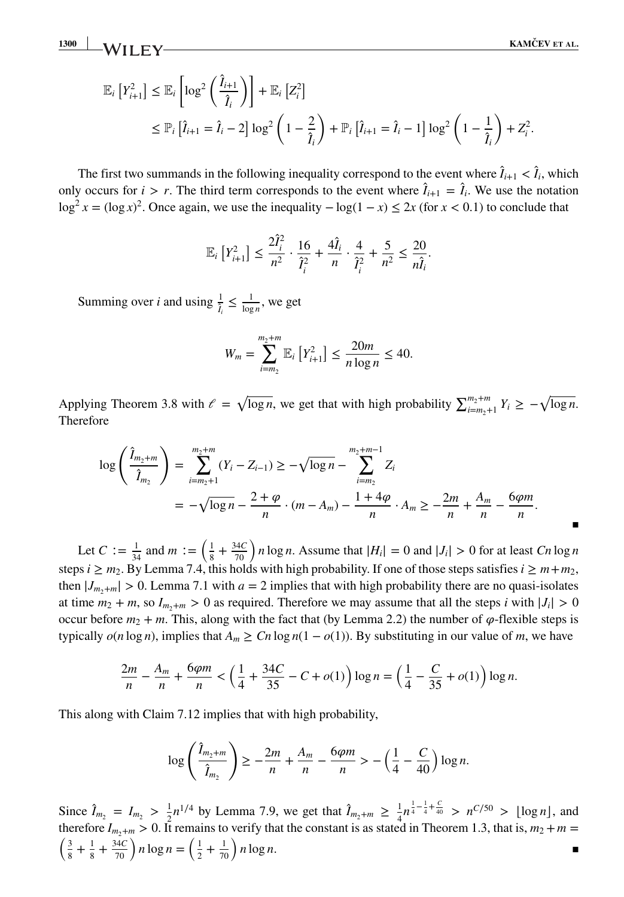**13000 KAMČEV ET AL. KAMČEV ET AL.** 

$$
\mathbb{E}_{i}\left[Y_{i+1}^{2}\right] \leq \mathbb{E}_{i}\left[\log^{2}\left(\frac{\hat{I}_{i+1}}{\hat{I}_{i}}\right)\right] + \mathbb{E}_{i}\left[Z_{i}^{2}\right] \n\leq \mathbb{P}_{i}\left[\hat{I}_{i+1} = \hat{I}_{i} - 2\right]\log^{2}\left(1 - \frac{2}{\hat{I}_{i}}\right) + \mathbb{P}_{i}\left[\hat{I}_{i+1} = \hat{I}_{i} - 1\right]\log^{2}\left(1 - \frac{1}{\hat{I}_{i}}\right) + Z_{i}^{2}.
$$

The first two summands in the following inequality correspond to the event where  $\hat{I}_{i+1} < \hat{I}_i$ , which only occurs for  $i > r$ . The third term corresponds to the event where  $\hat{I}_{i+1} = \hat{I}_i$ . We use the notation log<sup>2</sup> *x* = (log *x*)<sup>2</sup>. Once again, we use the inequality  $−log(1-x) ≤ 2x$  (for *x* < 0*.*1) to conclude that

$$
\mathbb{E}_{i}\left[Y_{i+1}^{2}\right] \leq \frac{2\hat{I}_{i}^{2}}{n^{2}} \cdot \frac{16}{\hat{I}_{i}^{2}} + \frac{4\hat{I}_{i}}{n} \cdot \frac{4}{\hat{I}_{i}^{2}} + \frac{5}{n^{2}} \leq \frac{20}{n\hat{I}_{i}}.
$$

Summing over *i* and using  $\frac{1}{l_i} \leq \frac{1}{\log n}$ , we get

$$
W_m = \sum_{i=m_2}^{m_2+m} \mathbb{E}_i \left[ Y_{i+1}^2 \right] \le \frac{20m}{n \log n} \le 40.
$$

Applying Theorem 3.8 with  $\ell = \sqrt{\log n}$ , we get that with high probability  $\sum_{i=m_2+1}^{m_2+m} Y_i \ge -\sqrt{\log n}$ . Therefore

$$
\log\left(\frac{\hat{I}_{m_2+m}}{\hat{I}_{m_2}}\right) = \sum_{i=m_2+1}^{m_2+m} (Y_i - Z_{i-1}) \ge -\sqrt{\log n} - \sum_{i=m_2}^{m_2+m-1} Z_i
$$
  
=  $-\sqrt{\log n} - \frac{2+\varphi}{n} \cdot (m-A_m) - \frac{1+4\varphi}{n} \cdot A_m \ge -\frac{2m}{n} + \frac{A_m}{n} - \frac{6\varphi m}{n}.$ 

Let  $C := \frac{1}{34}$  and  $m := \left(\frac{1}{8} + \frac{34C}{70}\right)n \log n$ . Assume that  $|H_i| = 0$  and  $|J_i| > 0$  for at least  $C_n \log n$ steps *i* ≥  $m_2$ . By Lemma 7.4, this holds with high probability. If one of those steps satisfies  $i \ge m+m_2$ , then  $|J_{m_2+m}| > 0$ . Lemma 7.1 with  $a = 2$  implies that with high probability there are no quasi-isolates at time  $m_2 + m$ , so  $I_{m_2+m} > 0$  as required. Therefore we may assume that all the steps *i* with  $|J_i| > 0$ occur before  $m_2 + m$ . This, along with the fact that (by Lemma 2.2) the number of  $\varphi$ -flexible steps is typically  $o(n \log n)$ , implies that  $A_m \geq Cn \log n(1 - o(1))$ . By substituting in our value of *m*, we have

$$
\frac{2m}{n} - \frac{A_m}{n} + \frac{6\varphi m}{n} < \left(\frac{1}{4} + \frac{34C}{35} - C + o(1)\right) \log n = \left(\frac{1}{4} - \frac{C}{35} + o(1)\right) \log n.
$$

This along with Claim 7.12 implies that with high probability,

$$
\log\left(\frac{\hat{I}_{m_2+m}}{\hat{I}_{m_2}}\right)\geq -\frac{2m}{n}+\frac{A_m}{n}-\frac{6\varphi m}{n}>-\left(\frac{1}{4}-\frac{C}{40}\right)\log n.
$$

Since  $\hat{I}_{m_2} = I_{m_2} > \frac{1}{2}n^{1/4}$  by Lemma 7.9, we get that  $\hat{I}_{m_2+m} \geq \frac{1}{4}n^{\frac{1}{4}-\frac{1}{4}+\frac{C}{40}} > n^{C/50} > \lfloor \log n \rfloor$ , and therefore  $I_{m_2+m} > 0$ . It remains to verify that the constant is as stated in Theorem 1.3, that is,  $m_2 + m =$ <br>  $\left(\begin{array}{cc}3+1+34C\end{array}\right)$   $n \log n = \left(\begin{array}{cc}1+1\\1\end{array}\right)$   $n \log n$  $\frac{3}{8} + \frac{1}{8} + \frac{34C}{70}$  *n* log  $n = \left(\frac{1}{2} + \frac{1}{70}\right) n \log n$ .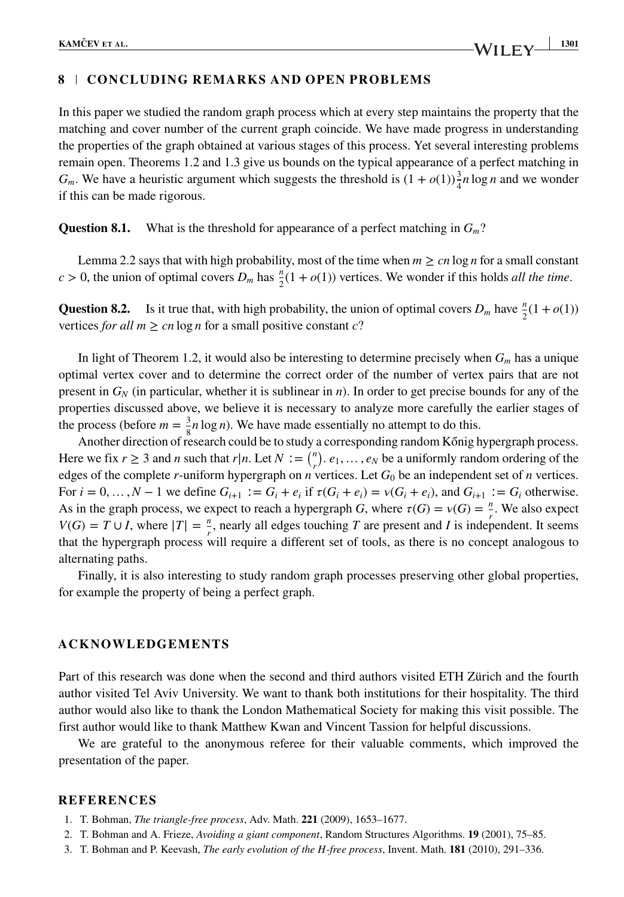# **8 CONCLUDING REMARKS AND OPEN PROBLEMS**

In this paper we studied the random graph process which at every step maintains the property that the matching and cover number of the current graph coincide. We have made progress in understanding the properties of the graph obtained at various stages of this process. Yet several interesting problems remain open. Theorems 1.2 and 1.3 give us bounds on the typical appearance of a perfect matching in  $G_m$ . We have a heuristic argument which suggests the threshold is  $(1 + o(1))\frac{3}{4}n \log n$  and we wonder if this can be made rigorous.

**Question 8.1.** What is the threshold for appearance of a perfect matching in *Gm*?

Lemma 2.2 says that with high probability, most of the time when  $m \geq cn \log n$  for a small constant  $c > 0$ , the union of optimal covers  $D_m$  has  $\frac{n}{2}(1 + o(1))$  vertices. We wonder if this holds *all the time*.

**Question 8.2.** Is it true that, with high probability, the union of optimal covers  $D_m$  have  $\frac{n}{2}(1 + o(1))$ vertices *for all*  $m \geq cn \log n$  for a small positive constant *c*?

In light of Theorem 1.2, it would also be interesting to determine precisely when *Gm* has a unique optimal vertex cover and to determine the correct order of the number of vertex pairs that are not present in  $G_N$  (in particular, whether it is sublinear in *n*). In order to get precise bounds for any of the properties discussed above, we believe it is necessary to analyze more carefully the earlier stages of the process (before  $m = \frac{3}{5}n \log n$ ). We have made essentially no attempt to do this.

Another direction of research could be to study a corresponding random Kőnig hypergraph process. Here we fix  $r \ge 3$  and *n* such that  $r|n$ . Let  $N := \binom{n}{r}$ .  $e_1, \ldots, e_N$  be a uniformly random ordering of the edges of the complete *r*-uniform hypergraph on *n* vertices. Let  $G_0$  be an independent set of *n* vertices. For  $i = 0, ..., N - 1$  we define  $G_{i+1} := G_i + e_i$  if  $\tau(G_i + e_i) = \nu(G_i + e_i)$ , and  $G_{i+1} := G_i$  otherwise. As in the graph process, we expect to reach a hypergraph *G*, where  $\tau(G) = \nu(G) = \frac{n}{2}$ . We also expect *V*(*G*) = *T* ∪ *I*, where  $|T| = \frac{n}{r}$ , nearly all edges touching *T* are present and *I* is independent. It seems that the hypergraph process will require a different set of tools, as there is no concept analogous to alternating paths.

Finally, it is also interesting to study random graph processes preserving other global properties, for example the property of being a perfect graph.

### **ACKNOWLEDGEMENTS**

Part of this research was done when the second and third authors visited ETH Zürich and the fourth author visited Tel Aviv University. We want to thank both institutions for their hospitality. The third author would also like to thank the London Mathematical Society for making this visit possible. The first author would like to thank Matthew Kwan and Vincent Tassion for helpful discussions.

We are grateful to the anonymous referee for their valuable comments, which improved the presentation of the paper.

#### **REFERENCES**

- 1. T. Bohman, *The triangle-free process*, Adv. Math. **221** (2009), 1653–1677.
- 2. T. Bohman and A. Frieze, *Avoiding a giant component*, Random Structures Algorithms. **19** (2001), 75–85.
- 3. T. Bohman and P. Keevash, *The early evolution of the H-free process*, Invent. Math. **181** (2010), 291–336.